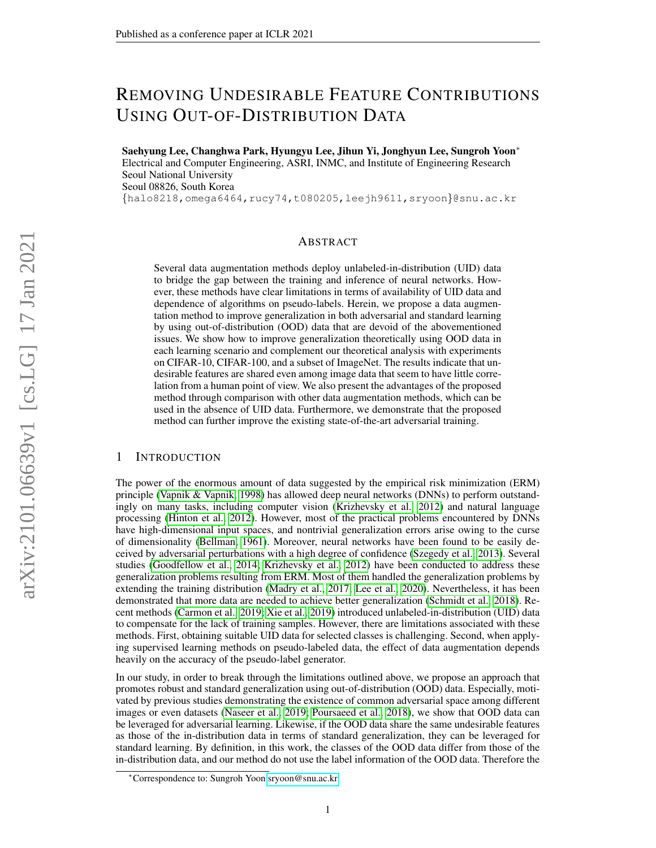# REMOVING UNDESIRABLE FEATURE CONTRIBUTIONS USING OUT-OF-DISTRIBUTION DATA

Saehyung Lee, Changhwa Park, Hyungyu Lee, Jihun Yi, Jonghyun Lee, Sungroh Yoon<sup>∗</sup> Electrical and Computer Engineering, ASRI, INMC, and Institute of Engineering Research Seoul National University Seoul 08826, South Korea {halo8218,omega6464,rucy74,t080205,leejh9611,sryoon}@snu.ac.kr

#### ABSTRACT

Several data augmentation methods deploy unlabeled-in-distribution (UID) data to bridge the gap between the training and inference of neural networks. However, these methods have clear limitations in terms of availability of UID data and dependence of algorithms on pseudo-labels. Herein, we propose a data augmentation method to improve generalization in both adversarial and standard learning by using out-of-distribution (OOD) data that are devoid of the abovementioned issues. We show how to improve generalization theoretically using OOD data in each learning scenario and complement our theoretical analysis with experiments on CIFAR-10, CIFAR-100, and a subset of ImageNet. The results indicate that undesirable features are shared even among image data that seem to have little correlation from a human point of view. We also present the advantages of the proposed method through comparison with other data augmentation methods, which can be used in the absence of UID data. Furthermore, we demonstrate that the proposed method can further improve the existing state-of-the-art adversarial training.

#### <span id="page-0-0"></span>1 INTRODUCTION

The power of the enormous amount of data suggested by the empirical risk minimization (ERM) principle [\(Vapnik & Vapnik, 1998\)](#page-10-0) has allowed deep neural networks (DNNs) to perform outstandingly on many tasks, including computer vision [\(Krizhevsky et al., 2012\)](#page-9-0) and natural language processing [\(Hinton et al., 2012\)](#page-9-1). However, most of the practical problems encountered by DNNs have high-dimensional input spaces, and nontrivial generalization errors arise owing to the curse of dimensionality [\(Bellman, 1961\)](#page-8-0). Moreover, neural networks have been found to be easily deceived by adversarial perturbations with a high degree of confidence [\(Szegedy et al., 2013\)](#page-10-1). Several studies [\(Goodfellow et al., 2014;](#page-9-2) [Krizhevsky et al., 2012\)](#page-9-0) have been conducted to address these generalization problems resulting from ERM. Most of them handled the generalization problems by extending the training distribution [\(Madry et al., 2017;](#page-10-2) [Lee et al., 2020\)](#page-9-3). Nevertheless, it has been demonstrated that more data are needed to achieve better generalization [\(Schmidt et al., 2018\)](#page-10-3). Recent methods [\(Carmon et al., 2019;](#page-9-4) [Xie et al., 2019\)](#page-10-4) introduced unlabeled-in-distribution (UID) data to compensate for the lack of training samples. However, there are limitations associated with these methods. First, obtaining suitable UID data for selected classes is challenging. Second, when applying supervised learning methods on pseudo-labeled data, the effect of data augmentation depends heavily on the accuracy of the pseudo-label generator.

In our study, in order to break through the limitations outlined above, we propose an approach that promotes robust and standard generalization using out-of-distribution (OOD) data. Especially, motivated by previous studies demonstrating the existence of common adversarial space among different images or even datasets [\(Naseer et al., 2019;](#page-10-5) [Poursaeed et al., 2018\)](#page-10-6), we show that OOD data can be leveraged for adversarial learning. Likewise, if the OOD data share the same undesirable features as those of the in-distribution data in terms of standard generalization, they can be leveraged for standard learning. By definition, in this work, the classes of the OOD data differ from those of the in-distribution data, and our method do not use the label information of the OOD data. Therefore the

<sup>∗</sup>Correspondence to: Sungroh Yoon [sryoon@snu.ac.kr.](mailto:sryoon@snu.ac.kr)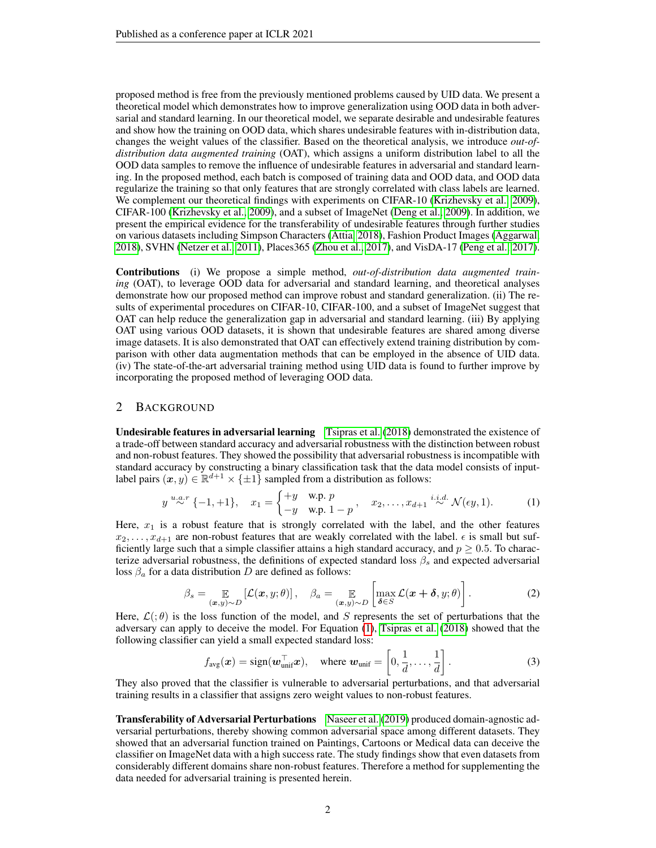proposed method is free from the previously mentioned problems caused by UID data. We present a theoretical model which demonstrates how to improve generalization using OOD data in both adversarial and standard learning. In our theoretical model, we separate desirable and undesirable features and show how the training on OOD data, which shares undesirable features with in-distribution data, changes the weight values of the classifier. Based on the theoretical analysis, we introduce *out-ofdistribution data augmented training* (OAT), which assigns a uniform distribution label to all the OOD data samples to remove the influence of undesirable features in adversarial and standard learning. In the proposed method, each batch is composed of training data and OOD data, and OOD data regularize the training so that only features that are strongly correlated with class labels are learned. We complement our theoretical findings with experiments on CIFAR-10 [\(Krizhevsky et al., 2009\)](#page-9-5), CIFAR-100 [\(Krizhevsky et al., 2009\)](#page-9-5), and a subset of ImageNet [\(Deng et al., 2009\)](#page-9-6). In addition, we present the empirical evidence for the transferability of undesirable features through further studies on various datasets including Simpson Characters [\(Attia, 2018\)](#page-8-1), Fashion Product Images [\(Aggarwal,](#page-8-2) [2018\)](#page-8-2), SVHN [\(Netzer et al., 2011\)](#page-10-7), Places365 [\(Zhou et al., 2017\)](#page-11-0), and VisDA-17 [\(Peng et al., 2017\)](#page-10-8).

Contributions (i) We propose a simple method, *out-of-distribution data augmented training* (OAT), to leverage OOD data for adversarial and standard learning, and theoretical analyses demonstrate how our proposed method can improve robust and standard generalization. (ii) The results of experimental procedures on CIFAR-10, CIFAR-100, and a subset of ImageNet suggest that OAT can help reduce the generalization gap in adversarial and standard learning. (iii) By applying OAT using various OOD datasets, it is shown that undesirable features are shared among diverse image datasets. It is also demonstrated that OAT can effectively extend training distribution by comparison with other data augmentation methods that can be employed in the absence of UID data. (iv) The state-of-the-art adversarial training method using UID data is found to further improve by incorporating the proposed method of leveraging OOD data.

#### <span id="page-1-1"></span>2 BACKGROUND

Undesirable features in adversarial learning [Tsipras et al.](#page-10-9) [\(2018\)](#page-10-9) demonstrated the existence of a trade-off between standard accuracy and adversarial robustness with the distinction between robust and non-robust features. They showed the possibility that adversarial robustness is incompatible with standard accuracy by constructing a binary classification task that the data model consists of inputlabel pairs  $(x, y) \in \mathbb{R}^{d+1} \times \{\pm 1\}$  sampled from a distribution as follows:

<span id="page-1-0"></span>
$$
y \stackrel{u.a.r}{\sim} \{-1,+1\}, \quad x_1 = \begin{cases} +y & \text{w.p. } p \\ -y & \text{w.p. } 1-p \end{cases}, \quad x_2, \dots, x_{d+1} \stackrel{i.i.d.}{\sim} \mathcal{N}(\epsilon y, 1). \tag{1}
$$

Here,  $x_1$  is a robust feature that is strongly correlated with the label, and the other features  $x_2, \ldots, x_{d+1}$  are non-robust features that are weakly correlated with the label.  $\epsilon$  is small but sufficiently large such that a simple classifier attains a high standard accuracy, and  $p \geq 0.5$ . To characterize adversarial robustness, the definitions of expected standard loss  $\beta_s$  and expected adversarial loss  $\beta_a$  for a data distribution D are defined as follows:

$$
\beta_s = \mathop{\mathbb{E}}_{(\boldsymbol{x},y)\sim D} [\mathcal{L}(\boldsymbol{x},y;\theta)], \quad \beta_a = \mathop{\mathbb{E}}_{(\boldsymbol{x},y)\sim D} \left[ \max_{\boldsymbol{\delta} \in S} \mathcal{L}(\boldsymbol{x} + \boldsymbol{\delta}, y;\theta) \right]. \tag{2}
$$

Here,  $\mathcal{L}(\theta)$  is the loss function of the model, and S represents the set of perturbations that the adversary can apply to deceive the model. For Equation [\(1\)](#page-1-0), [Tsipras et al.](#page-10-9) [\(2018\)](#page-10-9) showed that the following classifier can yield a small expected standard loss:

$$
f_{\text{avg}}(\boldsymbol{x}) = \text{sign}(\boldsymbol{w}_{\text{unif}}^{\top} \boldsymbol{x}), \quad \text{where } \boldsymbol{w}_{\text{unif}} = \left[0, \frac{1}{d}, \dots, \frac{1}{d}\right]. \tag{3}
$$

They also proved that the classifier is vulnerable to adversarial perturbations, and that adversarial training results in a classifier that assigns zero weight values to non-robust features.

Transferability of Adversarial Perturbations [Naseer et al.](#page-10-5) [\(2019\)](#page-10-5) produced domain-agnostic adversarial perturbations, thereby showing common adversarial space among different datasets. They showed that an adversarial function trained on Paintings, Cartoons or Medical data can deceive the classifier on ImageNet data with a high success rate. The study findings show that even datasets from considerably different domains share non-robust features. Therefore a method for supplementing the data needed for adversarial training is presented herein.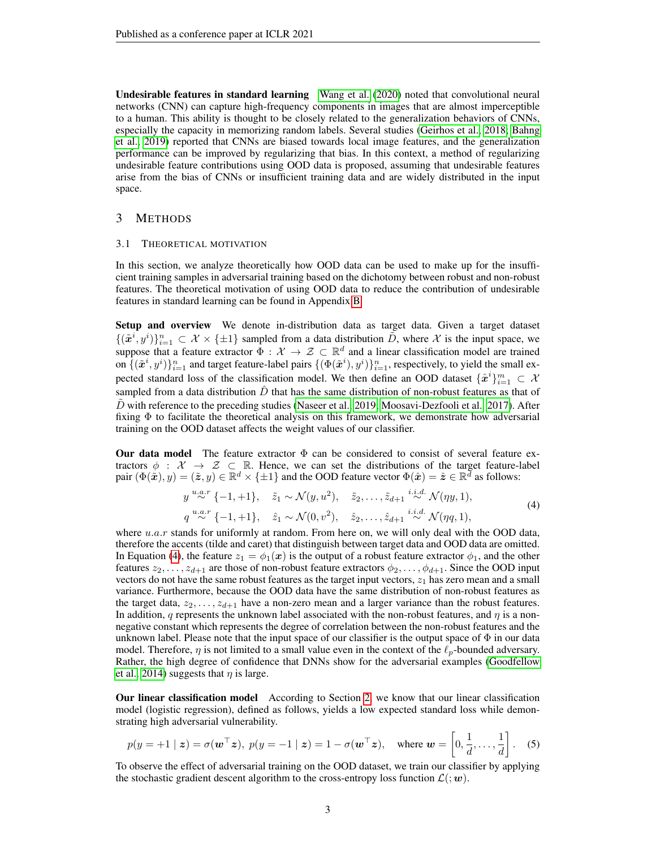Undesirable features in standard learning [Wang et al.](#page-10-10) [\(2020\)](#page-10-10) noted that convolutional neural networks (CNN) can capture high-frequency components in images that are almost imperceptible to a human. This ability is thought to be closely related to the generalization behaviors of CNNs, especially the capacity in memorizing random labels. Several studies [\(Geirhos et al., 2018;](#page-9-7) [Bahng](#page-8-3) [et al., 2019\)](#page-8-3) reported that CNNs are biased towards local image features, and the generalization performance can be improved by regularizing that bias. In this context, a method of regularizing undesirable feature contributions using OOD data is proposed, assuming that undesirable features arise from the bias of CNNs or insufficient training data and are widely distributed in the input space.

### <span id="page-2-1"></span>3 METHODS

### 3.1 THEORETICAL MOTIVATION

In this section, we analyze theoretically how OOD data can be used to make up for the insufficient training samples in adversarial training based on the dichotomy between robust and non-robust features. The theoretical motivation of using OOD data to reduce the contribution of undesirable features in standard learning can be found in Appendix [B.](#page-12-0)

Setup and overview We denote in-distribution data as target data. Given a target dataset  $\{(\tilde{x}^{i}, y^{i})\}_{i=1}^{n} \subset \mathcal{X} \times \{\pm 1\}$  sampled from a data distribution  $\tilde{D}$ , where X is the input space, we suppose that a feature extractor  $\Phi : \mathcal{X} \to \mathcal{Z} \subset \mathbb{R}^d$  and a linear classification model are trained on  $\{(\tilde{x}^i, y^i)\}_{i=1}^n$  and target feature-label pairs  $\{(\Phi(\tilde{x}^i), y^i)\}_{i=1}^n$ , respectively, to yield the small expected standard loss of the classification model. We then define an OOD dataset  $\{\hat{x}^i\}_{i=1}^m \subset \mathcal{X}$ sampled from a data distribution  $\ddot{D}$  that has the same distribution of non-robust features as that of  $\tilde{D}$  with reference to the preceding studies [\(Naseer et al., 2019;](#page-10-5) [Moosavi-Dezfooli et al., 2017\)](#page-10-11). After fixing Φ to facilitate the theoretical analysis on this framework, we demonstrate how adversarial training on the OOD dataset affects the weight values of our classifier.

Our data model The feature extractor  $\Phi$  can be considered to consist of several feature extractors  $\phi$  :  $\mathcal{X} \to \mathcal{Z} \subset \mathbb{R}$ . Hence, we can set the distributions of the target feature-label pair  $(\Phi(\tilde{\bm{x}}), y) = (\tilde{\bm{z}}, y) \in \mathbb{R}^d \times \{\pm 1\}$  and the OOD feature vector  $\Phi(\hat{\bm{x}}) = \hat{\bm{z}} \in \mathbb{R}^d$  as follows:

<span id="page-2-0"></span>
$$
y \stackrel{u.a.r}{\sim} \{-1,+1\}, \quad \tilde{z}_1 \sim \mathcal{N}(y,u^2), \quad \tilde{z}_2, \dots, \tilde{z}_{d+1} \stackrel{i.i.d.}{\sim} \mathcal{N}(\eta y, 1),
$$
  
\n
$$
q \stackrel{u.a.r}{\sim} \{-1,+1\}, \quad \hat{z}_1 \sim \mathcal{N}(0,v^2), \quad \hat{z}_2, \dots, \hat{z}_{d+1} \stackrel{i.i.d.}{\sim} \mathcal{N}(\eta q, 1),
$$
\n(4)

where  $u.a.r$  stands for uniformly at random. From here on, we will only deal with the OOD data, therefore the accents (tilde and caret) that distinguish between target data and OOD data are omitted. In Equation [\(4\)](#page-2-0), the feature  $z_1 = \phi_1(x)$  is the output of a robust feature extractor  $\phi_1$ , and the other features  $z_2, \ldots, z_{d+1}$  are those of non-robust feature extractors  $\phi_2, \ldots, \phi_{d+1}$ . Since the OOD input vectors do not have the same robust features as the target input vectors,  $z_1$  has zero mean and a small variance. Furthermore, because the OOD data have the same distribution of non-robust features as the target data,  $z_2, \ldots, z_{d+1}$  have a non-zero mean and a larger variance than the robust features. In addition, q represents the unknown label associated with the non-robust features, and  $\eta$  is a nonnegative constant which represents the degree of correlation between the non-robust features and the unknown label. Please note that the input space of our classifier is the output space of  $\Phi$  in our data model. Therefore,  $\eta$  is not limited to a small value even in the context of the  $\ell_p$ -bounded adversary. Rather, the high degree of confidence that DNNs show for the adversarial examples [\(Goodfellow](#page-9-2) [et al., 2014\)](#page-9-2) suggests that  $\eta$  is large.

Our linear classification model According to Section [2,](#page-1-1) we know that our linear classification model (logistic regression), defined as follows, yields a low expected standard loss while demonstrating high adversarial vulnerability.

$$
p(y = +1 \mid z) = \sigma(\mathbf{w}^\top z), \ p(y = -1 \mid z) = 1 - \sigma(\mathbf{w}^\top z), \quad \text{where } \mathbf{w} = \left[0, \frac{1}{d}, \dots, \frac{1}{d}\right]. \tag{5}
$$

To observe the effect of adversarial training on the OOD dataset, we train our classifier by applying the stochastic gradient descent algorithm to the cross-entropy loss function  $\mathcal{L}(\mathbf{w})$ .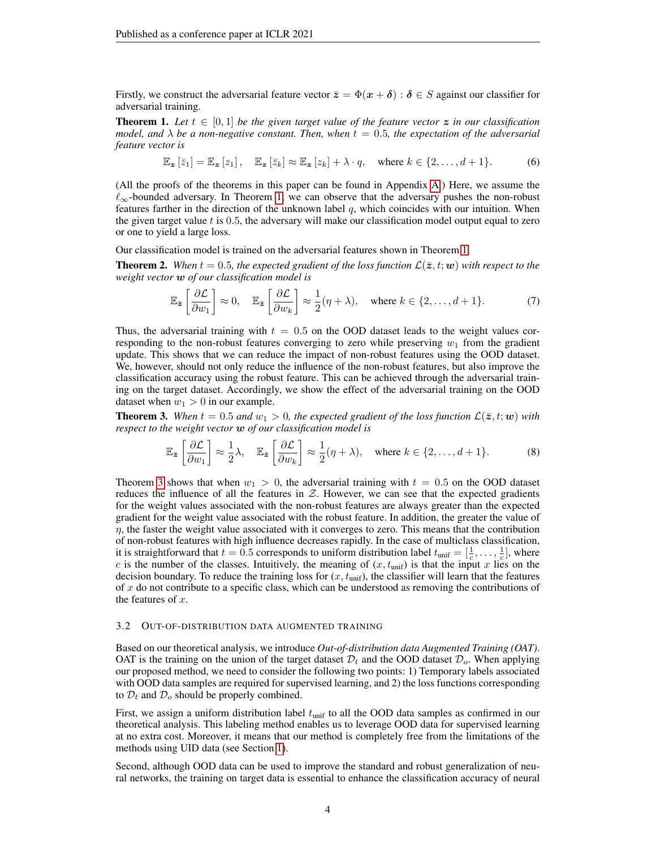Firstly, we construct the adversarial feature vector  $\bar{z} = \Phi(x + \delta) : \delta \in S$  against our classifier for adversarial training.

<span id="page-3-0"></span>**Theorem 1.** Let  $t \in [0,1]$  be the given target value of the feature vector z in our classification *model, and*  $\lambda$  *be a non-negative constant. Then, when*  $t = 0.5$ *, the expectation of the adversarial feature vector is*

$$
\mathbb{E}_{\mathbf{z}}\left[\overline{z}_{1}\right]=\mathbb{E}_{\mathbf{z}}\left[z_{1}\right], \quad \mathbb{E}_{\mathbf{z}}\left[\overline{z}_{k}\right] \approx \mathbb{E}_{\mathbf{z}}\left[z_{k}\right] + \lambda \cdot q, \quad \text{where } k \in \{2, \ldots, d+1\}.
$$

(All the proofs of the theorems in this paper can be found in Appendix [A.](#page-11-1)) Here, we assume the  $\ell_{\infty}$ -bounded adversary. In Theorem [1,](#page-3-0) we can observe that the adversary pushes the non-robust features farther in the direction of the unknown label  $q$ , which coincides with our intuition. When the given target value  $t$  is 0.5, the adversary will make our classification model output equal to zero or one to yield a large loss.

Our classification model is trained on the adversarial features shown in Theorem [1.](#page-3-0)

**Theorem 2.** When  $t = 0.5$ , the expected gradient of the loss function  $\mathcal{L}(\bar{z}, t; \bm{w})$  with respect to the *weight vector* w *of our classification model is*

$$
\mathbb{E}_{\bar{z}}\left[\frac{\partial \mathcal{L}}{\partial w_1}\right] \approx 0, \quad \mathbb{E}_{\bar{z}}\left[\frac{\partial \mathcal{L}}{\partial w_k}\right] \approx \frac{1}{2}(\eta + \lambda), \quad \text{where } k \in \{2, \dots, d+1\}.
$$
 (7)

Thus, the adversarial training with  $t = 0.5$  on the OOD dataset leads to the weight values corresponding to the non-robust features converging to zero while preserving  $w_1$  from the gradient update. This shows that we can reduce the impact of non-robust features using the OOD dataset. We, however, should not only reduce the influence of the non-robust features, but also improve the classification accuracy using the robust feature. This can be achieved through the adversarial training on the target dataset. Accordingly, we show the effect of the adversarial training on the OOD dataset when  $w_1 > 0$  in our example.

<span id="page-3-1"></span>**Theorem 3.** When  $t = 0.5$  and  $w_1 > 0$ , the expected gradient of the loss function  $\mathcal{L}(\bar{z}, t; w)$  with *respect to the weight vector* w *of our classification model is*

$$
\mathbb{E}_{\bar{z}}\left[\frac{\partial \mathcal{L}}{\partial w_1}\right] \approx \frac{1}{2}\lambda, \quad \mathbb{E}_{\bar{z}}\left[\frac{\partial \mathcal{L}}{\partial w_k}\right] \approx \frac{1}{2}(\eta + \lambda), \quad \text{where } k \in \{2, \dots, d+1\}.
$$
 (8)

Theorem [3](#page-3-1) shows that when  $w_1 > 0$ , the adversarial training with  $t = 0.5$  on the OOD dataset reduces the influence of all the features in  $Z$ . However, we can see that the expected gradients for the weight values associated with the non-robust features are always greater than the expected gradient for the weight value associated with the robust feature. In addition, the greater the value of  $\eta$ , the faster the weight value associated with it converges to zero. This means that the contribution of non-robust features with high influence decreases rapidly. In the case of multiclass classification, it is straightforward that  $t = 0.5$  corresponds to uniform distribution label  $t_{\text{unif}} = [\frac{1}{c}, \dots, \frac{1}{c}]$ , where c is the number of the classes. Intuitively, the meaning of  $(x, t_{\text{unif}})$  is that the input x lies on the decision boundary. To reduce the training loss for  $(x, t_{\text{unif}})$ , the classifier will learn that the features of  $x$  do not contribute to a specific class, which can be understood as removing the contributions of the features of  $x$ .

#### 3.2 OUT-OF-DISTRIBUTION DATA AUGMENTED TRAINING

Based on our theoretical analysis, we introduce *Out-of-distribution data Augmented Training (OAT)*. OAT is the training on the union of the target dataset  $\mathcal{D}_t$  and the OOD dataset  $\mathcal{D}_o$ . When applying our proposed method, we need to consider the following two points: 1) Temporary labels associated with OOD data samples are required for supervised learning, and 2) the loss functions corresponding to  $\mathcal{D}_t$  and  $\mathcal{D}_o$  should be properly combined.

First, we assign a uniform distribution label  $t_{\text{unif}}$  to all the OOD data samples as confirmed in our theoretical analysis. This labeling method enables us to leverage OOD data for supervised learning at no extra cost. Moreover, it means that our method is completely free from the limitations of the methods using UID data (see Section [1\)](#page-0-0).

Second, although OOD data can be used to improve the standard and robust generalization of neural networks, the training on target data is essential to enhance the classification accuracy of neural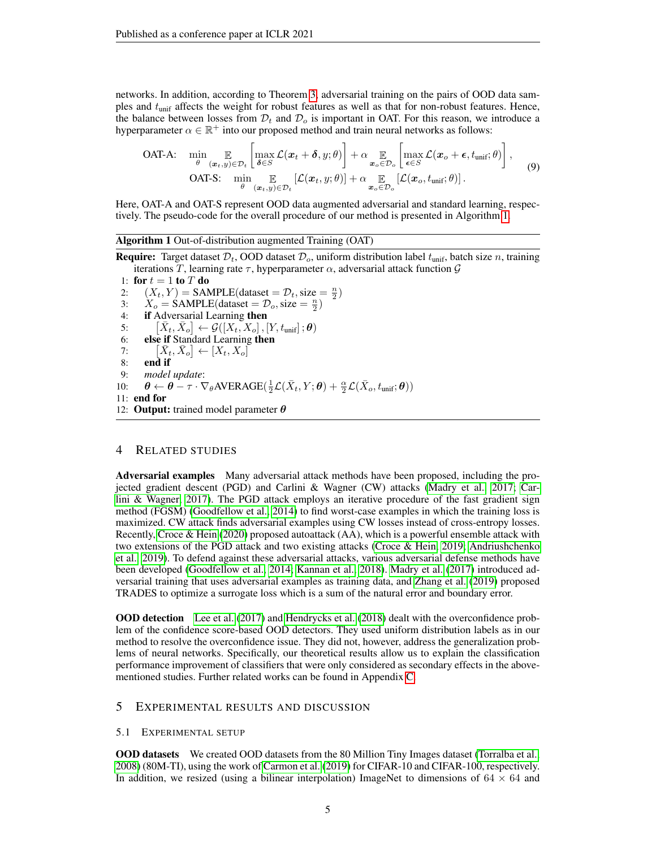networks. In addition, according to Theorem [3,](#page-3-1) adversarial training on the pairs of OOD data samples and  $t_{\text{unif}}$  affects the weight for robust features as well as that for non-robust features. Hence, the balance between losses from  $\mathcal{D}_t$  and  $\mathcal{D}_o$  is important in OAT. For this reason, we introduce a hyperparameter  $\alpha \in \mathbb{R}^+$  into our proposed method and train neural networks as follows:

**OAT-A:** 
$$
\min_{\theta} \mathop{\mathbb{E}}_{(\boldsymbol{x}_t, y) \in \mathcal{D}_t} \left[ \max_{\boldsymbol{\delta} \in S} \mathcal{L}(\boldsymbol{x}_t + \boldsymbol{\delta}, y; \theta) \right] + \alpha \mathop{\mathbb{E}}_{\boldsymbol{x}_o \in \mathcal{D}_o} \left[ \max_{\boldsymbol{\epsilon} \in S} \mathcal{L}(\boldsymbol{x}_o + \boldsymbol{\epsilon}, t_{\text{unif}}; \theta) \right],
$$
 (9)  
OAT-S: 
$$
\min_{\theta} \mathop{\mathbb{E}}_{(\boldsymbol{x}_t, y) \in \mathcal{D}_t} [\mathcal{L}(\boldsymbol{x}_t, y; \theta)] + \alpha \mathop{\mathbb{E}}_{\boldsymbol{x}_o \in \mathcal{D}_o} [\mathcal{L}(\boldsymbol{x}_o, t_{\text{unif}}; \theta)].
$$

Here, OAT-A and OAT-S represent OOD data augmented adversarial and standard learning, respectively. The pseudo-code for the overall procedure of our method is presented in Algorithm [1.](#page-4-0)

<span id="page-4-0"></span>Algorithm 1 Out-of-distribution augmented Training (OAT)

**Require:** Target dataset  $\mathcal{D}_t$ , OOD dataset  $\mathcal{D}_o$ , uniform distribution label  $t_{\text{unif}}$ , batch size *n*, training iterations T, learning rate  $\tau$ , hyperparameter  $\alpha$ , adversarial attack function  $\mathcal G$ 

1: for  $t = 1$  to  $T$  do 2:  $(X_t, Y) = \text{SAMPLE}(\text{dataset} = \mathcal{D}_t, \text{size} = \frac{n}{2})$ 3:  $X_o = \text{SAMPLE}(\text{dataset} = \mathcal{D}_o, \text{size} = \frac{n}{2})$ 4: if Adversarial Learning then  $5:$  $\bar{X}_t, \bar{X}_o \} \leftarrow \mathcal{G}([X_t, X_o], [Y, t_{\text{unif}}]; \boldsymbol{\theta})$ 6: else if Standard Learning then  $7:$  $\bar{X}_t, \bar{X}_o] \leftarrow [X_t, X_o]$ 8: end if 9: *model update*: 10:  $\theta \leftarrow \theta - \tau \cdot \nabla_{\theta} AVERAGE(\frac{1}{2}\mathcal{L}(\bar{X}_t, Y; \theta) + \frac{\alpha}{2}\mathcal{L}(\bar{X}_o, t_{\text{unif}}; \theta))$ 11: end for 12: **Output:** trained model parameter  $\theta$ 

### 4 RELATED STUDIES

Adversarial examples Many adversarial attack methods have been proposed, including the projected gradient descent (PGD) and Carlini & Wagner (CW) attacks [\(Madry et al., 2017;](#page-10-2) [Car](#page-8-4)[lini & Wagner, 2017\)](#page-8-4). The PGD attack employs an iterative procedure of the fast gradient sign method (FGSM) [\(Goodfellow et al., 2014\)](#page-9-2) to find worst-case examples in which the training loss is maximized. CW attack finds adversarial examples using CW losses instead of cross-entropy losses. Recently, [Croce & Hein](#page-9-8) [\(2020\)](#page-9-8) proposed autoattack (AA), which is a powerful ensemble attack with two extensions of the PGD attack and two existing attacks [\(Croce & Hein, 2019;](#page-9-9) [Andriushchenko](#page-8-5) [et al., 2019\)](#page-8-5). To defend against these adversarial attacks, various adversarial defense methods have been developed [\(Goodfellow et al., 2014;](#page-9-2) [Kannan et al., 2018\)](#page-9-10). [Madry et al.](#page-10-2) [\(2017\)](#page-10-2) introduced adversarial training that uses adversarial examples as training data, and [Zhang et al.](#page-11-2) [\(2019\)](#page-11-2) proposed TRADES to optimize a surrogate loss which is a sum of the natural error and boundary error.

OOD detection [Lee et al.](#page-9-11) [\(2017\)](#page-9-11) and [Hendrycks et al.](#page-9-12) [\(2018\)](#page-9-12) dealt with the overconfidence problem of the confidence score-based OOD detectors. They used uniform distribution labels as in our method to resolve the overconfidence issue. They did not, however, address the generalization problems of neural networks. Specifically, our theoretical results allow us to explain the classification performance improvement of classifiers that were only considered as secondary effects in the abovementioned studies. Further related works can be found in Appendix [C.](#page-13-0)

## 5 EXPERIMENTAL RESULTS AND DISCUSSION

#### 5.1 EXPERIMENTAL SETUP

OOD datasets We created OOD datasets from the 80 Million Tiny Images dataset [\(Torralba et al.,](#page-10-12) [2008\)](#page-10-12) (80M-TI), using the work of [Carmon et al.](#page-9-4) [\(2019\)](#page-9-4) for CIFAR-10 and CIFAR-100, respectively. In addition, we resized (using a bilinear interpolation) ImageNet to dimensions of  $64 \times 64$  and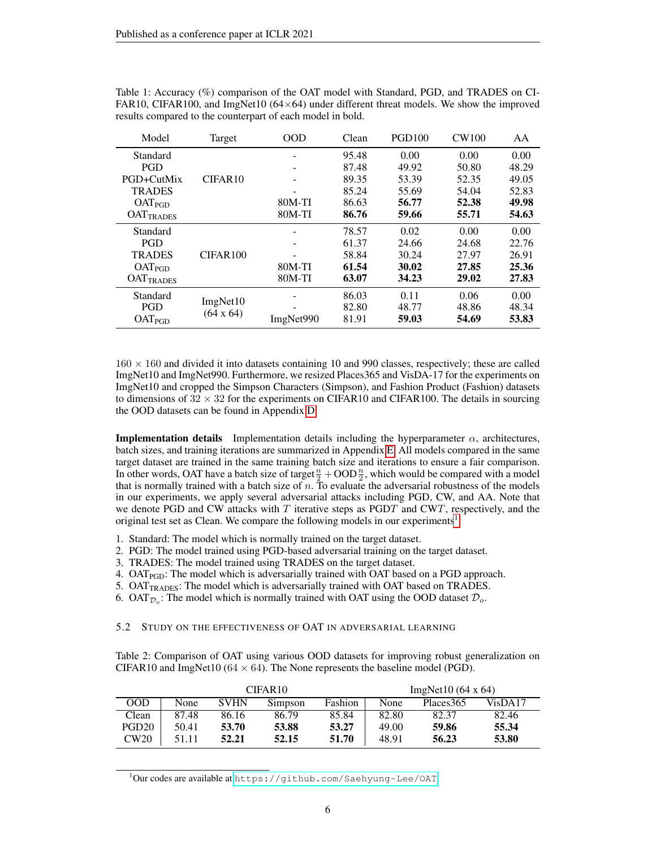| Model              | Target              | <b>OOD</b> | Clean | <b>PGD100</b> | <b>CW100</b> | AA    |
|--------------------|---------------------|------------|-------|---------------|--------------|-------|
| Standard           |                     |            | 95.48 | 0.00          | 0.00         | 0.00  |
| PGD                |                     |            | 87.48 | 49.92         | 50.80        | 48.29 |
| PGD+CutMix         | CIFAR <sub>10</sub> |            | 89.35 | 53.39         | 52.35        | 49.05 |
| <b>TRADES</b>      |                     |            | 85.24 | 55.69         | 54.04        | 52.83 |
| OAT <sub>PGD</sub> |                     | 80M-TI     | 86.63 | 56.77         | 52.38        | 49.98 |
| <b>OATTRADES</b>   |                     | $80M-TI$   | 86.76 | 59.66         | 55.71        | 54.63 |
| Standard           |                     |            | 78.57 | 0.02          | 0.00         | 0.00  |
| <b>PGD</b>         |                     |            | 61.37 | 24.66         | 24.68        | 22.76 |
| <b>TRADES</b>      | CIFAR100            |            | 58.84 | 30.24         | 27.97        | 26.91 |
| OAT <sub>PGD</sub> |                     | $80M-TI$   | 61.54 | 30.02         | 27.85        | 25.36 |
| <b>OATTRADES</b>   |                     | $80M-TI$   | 63.07 | 34.23         | 29.02        | 27.83 |
| Standard           | ImgNet10            |            | 86.03 | 0.11          | 0.06         | 0.00  |
| <b>PGD</b>         | $(64 \times 64)$    |            | 82.80 | 48.77         | 48.86        | 48.34 |
| OAT <sub>PGD</sub> |                     | ImgNet990  | 81.91 | 59.03         | 54.69        | 53.83 |

<span id="page-5-1"></span>Table 1: Accuracy (%) comparison of the OAT model with Standard, PGD, and TRADES on CI-FAR10, CIFAR100, and ImgNet10  $(64 \times 64)$  under different threat models. We show the improved results compared to the counterpart of each model in bold.

 $160 \times 160$  and divided it into datasets containing 10 and 990 classes, respectively; these are called ImgNet10 and ImgNet990. Furthermore, we resized Places365 and VisDA-17 for the experiments on ImgNet10 and cropped the Simpson Characters (Simpson), and Fashion Product (Fashion) datasets to dimensions of  $32 \times 32$  for the experiments on CIFAR10 and CIFAR100. The details in sourcing the OOD datasets can be found in Appendix [D.](#page-14-0)

**Implementation details** Implementation details including the hyperparameter  $\alpha$ , architectures, batch sizes, and training iterations are summarized in Appendix [E.](#page-14-1) All models compared in the same target dataset are trained in the same training batch size and iterations to ensure a fair comparison. In other words, OAT have a batch size of target  $\frac{n}{2} + \text{OOD}\frac{n}{2}$ , which would be compared with a model that is normally trained with a batch size of  $n$ . To evaluate the adversarial robustness of the models in our experiments, we apply several adversarial attacks including PGD, CW, and AA. Note that we denote PGD and CW attacks with  $T$  iterative steps as PGDT and CWT, respectively, and the original test set as Clean. We compare the following models in our experiments<sup>[1](#page-5-0)</sup>:

- 1. Standard: The model which is normally trained on the target dataset.
- 2. PGD: The model trained using PGD-based adversarial training on the target dataset.
- 3. TRADES: The model trained using TRADES on the target dataset.
- 4.  $OAT_{PGD}$ : The model which is adversarially trained with OAT based on a PGD approach.
- 5. OAT<sub>TRADES</sub>: The model which is adversarially trained with OAT based on TRADES.
- 6. OAT $_{\mathcal{D}_o}$ : The model which is normally trained with OAT using the OOD dataset  $\mathcal{D}_o$ .

#### 5.2 STUDY ON THE EFFECTIVENESS OF OAT IN ADVERSARIAL LEARNING

<span id="page-5-2"></span>Table 2: Comparison of OAT using various OOD datasets for improving robust generalization on CIFAR10 and ImgNet10 ( $64 \times 64$ ). The None represents the baseline model (PGD).

|                   | CIFAR <sub>10</sub> |             |         |         | $ImgNet10(64 \times 64)$ |            |         |
|-------------------|---------------------|-------------|---------|---------|--------------------------|------------|---------|
| 00 <sub>D</sub>   | None                | <b>SVHN</b> | Simpson | Fashion | None                     | Places 365 | VisDA17 |
| Clean             | 87.48               | 86.16       | 86.79   | 85.84   | 82.80                    | 82.37      | 82.46   |
| PGD <sub>20</sub> | 50.41               | 53.70       | 53.88   | 53.27   | 49.00                    | 59.86      | 55.34   |
| CW20              | 51.11               | 52.21       | 52.15   | 51.70   | 48.91                    | 56.23      | 53.80   |

<span id="page-5-0"></span><sup>1</sup>Our codes are available at <https://github.com/Saehyung-Lee/OAT>.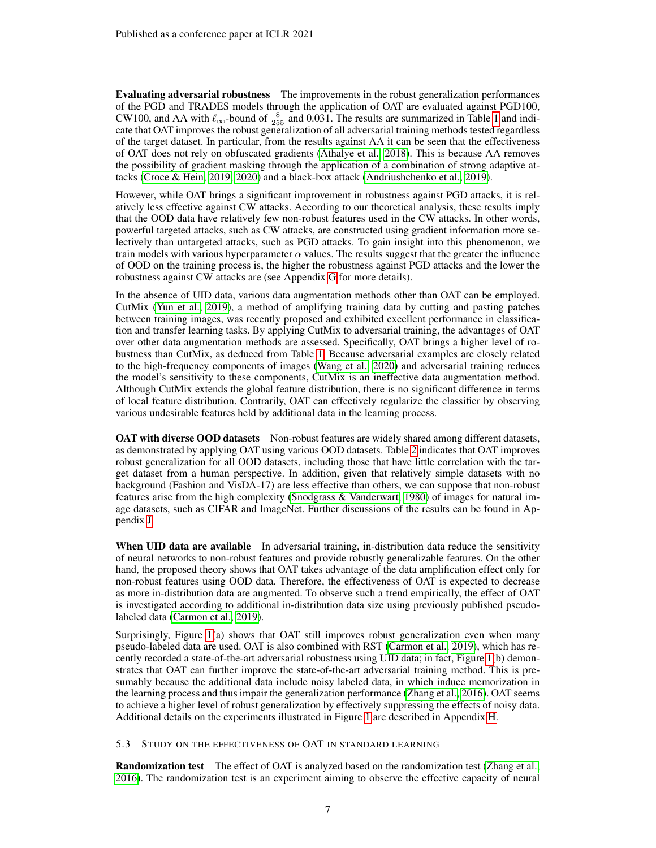Evaluating adversarial robustness The improvements in the robust generalization performances of the PGD and TRADES models through the application of OAT are evaluated against PGD100, CW100, and AA with  $\ell_{\infty}$ -bound of  $\frac{8}{255}$  and 0.031. The results are summarized in Table [1](#page-5-1) and indicate that OAT improves the robust generalization of all adversarial training methods tested regardless of the target dataset. In particular, from the results against AA it can be seen that the effectiveness of OAT does not rely on obfuscated gradients [\(Athalye et al., 2018\)](#page-8-6). This is because AA removes the possibility of gradient masking through the application of a combination of strong adaptive attacks [\(Croce & Hein, 2019;](#page-9-9) [2020\)](#page-9-8) and a black-box attack [\(Andriushchenko et al., 2019\)](#page-8-5).

However, while OAT brings a significant improvement in robustness against PGD attacks, it is relatively less effective against CW attacks. According to our theoretical analysis, these results imply that the OOD data have relatively few non-robust features used in the CW attacks. In other words, powerful targeted attacks, such as CW attacks, are constructed using gradient information more selectively than untargeted attacks, such as PGD attacks. To gain insight into this phenomenon, we train models with various hyperparameter  $\alpha$  values. The results suggest that the greater the influence of OOD on the training process is, the higher the robustness against PGD attacks and the lower the robustness against CW attacks are (see Appendix [G](#page-15-0) for more details).

In the absence of UID data, various data augmentation methods other than OAT can be employed. CutMix [\(Yun et al., 2019\)](#page-10-13), a method of amplifying training data by cutting and pasting patches between training images, was recently proposed and exhibited excellent performance in classification and transfer learning tasks. By applying CutMix to adversarial training, the advantages of OAT over other data augmentation methods are assessed. Specifically, OAT brings a higher level of robustness than CutMix, as deduced from Table [1.](#page-5-1) Because adversarial examples are closely related to the high-frequency components of images [\(Wang et al., 2020\)](#page-10-10) and adversarial training reduces the model's sensitivity to these components, CutMix is an ineffective data augmentation method. Although CutMix extends the global feature distribution, there is no significant difference in terms of local feature distribution. Contrarily, OAT can effectively regularize the classifier by observing various undesirable features held by additional data in the learning process.

**OAT with diverse OOD datasets** Non-robust features are widely shared among different datasets, as demonstrated by applying OAT using various OOD datasets. Table [2](#page-5-2) indicates that OAT improves robust generalization for all OOD datasets, including those that have little correlation with the target dataset from a human perspective. In addition, given that relatively simple datasets with no background (Fashion and VisDA-17) are less effective than others, we can suppose that non-robust features arise from the high complexity [\(Snodgrass & Vanderwart, 1980\)](#page-10-14) of images for natural image datasets, such as CIFAR and ImageNet. Further discussions of the results can be found in Appendix [J.](#page-17-0)

When UID data are available In adversarial training, in-distribution data reduce the sensitivity of neural networks to non-robust features and provide robustly generalizable features. On the other hand, the proposed theory shows that OAT takes advantage of the data amplification effect only for non-robust features using OOD data. Therefore, the effectiveness of OAT is expected to decrease as more in-distribution data are augmented. To observe such a trend empirically, the effect of OAT is investigated according to additional in-distribution data size using previously published pseudolabeled data [\(Carmon et al., 2019\)](#page-9-4).

Surprisingly, Figure [1\(](#page-7-0)a) shows that OAT still improves robust generalization even when many pseudo-labeled data are used. OAT is also combined with RST [\(Carmon et al., 2019\)](#page-9-4), which has recently recorded a state-of-the-art adversarial robustness using UID data; in fact, Figure [1\(](#page-7-0)b) demonstrates that OAT can further improve the state-of-the-art adversarial training method. This is presumably because the additional data include noisy labeled data, in which induce memorization in the learning process and thus impair the generalization performance [\(Zhang et al., 2016\)](#page-11-3). OAT seems to achieve a higher level of robust generalization by effectively suppressing the effects of noisy data. Additional details on the experiments illustrated in Figure [1](#page-7-0) are described in Appendix [H.](#page-16-0)

5.3 STUDY ON THE EFFECTIVENESS OF OAT IN STANDARD LEARNING

Randomization test The effect of OAT is analyzed based on the randomization test [\(Zhang et al.,](#page-11-3) [2016\)](#page-11-3). The randomization test is an experiment aiming to observe the effective capacity of neural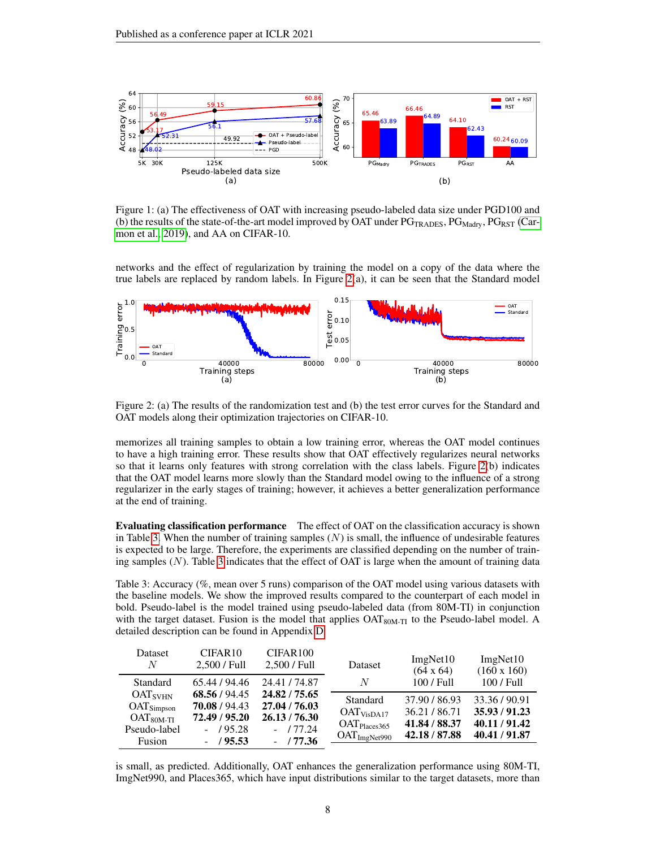<span id="page-7-0"></span>

Figure 1: (a) The effectiveness of OAT with increasing pseudo-labeled data size under PGD100 and (b) the results of the state-of-the-art model improved by OAT under  $PG_{TRADES}$ ,  $PG_{Madrv}$ ,  $PG_{RST}$  [\(Car](#page-9-4)[mon et al., 2019\)](#page-9-4), and AA on CIFAR-10.

networks and the effect of regularization by training the model on a copy of the data where the true labels are replaced by random labels. In Figure  $2(a)$ , it can be seen that the Standard model

<span id="page-7-1"></span>

Figure 2: (a) The results of the randomization test and (b) the test error curves for the Standard and OAT models along their optimization trajectories on CIFAR-10.

memorizes all training samples to obtain a low training error, whereas the OAT model continues to have a high training error. These results show that OAT effectively regularizes neural networks so that it learns only features with strong correlation with the class labels. Figure [2\(](#page-7-1)b) indicates that the OAT model learns more slowly than the Standard model owing to the influence of a strong regularizer in the early stages of training; however, it achieves a better generalization performance at the end of training.

Evaluating classification performance The effect of OAT on the classification accuracy is shown in Table [3.](#page-7-2) When the number of training samples  $(N)$  is small, the influence of undesirable features is expected to be large. Therefore, the experiments are classified depending on the number of training samples  $(N)$ . Table [3](#page-7-2) indicates that the effect of OAT is large when the amount of training data

<span id="page-7-2"></span>Table 3: Accuracy (%, mean over 5 runs) comparison of the OAT model using various datasets with the baseline models. We show the improved results compared to the counterpart of each model in bold. Pseudo-label is the model trained using pseudo-labeled data (from 80M-TI) in conjunction with the target dataset. Fusion is the model that applies  $OAT_{80M-TI}$  to the Pseudo-label model. A detailed description can be found in Appendix [D.](#page-14-0)

| Dataset<br>N           | CIFAR <sub>10</sub><br>2,500 / Full | CIFAR100<br>$2,500$ / Full | Dataset                  | ImgNet10<br>$(64 \times 64)$ | ImgNet10<br>$(160 \times 160)$ |
|------------------------|-------------------------------------|----------------------------|--------------------------|------------------------------|--------------------------------|
| Standard               | 65.44 / 94.46                       | 24.41 / 74.87              | N                        | $100 / \mathrm{Full}$        | 100 / Full                     |
| OAT <sub>SVHN</sub>    | 68.56 / 94.45                       | 24.82 / 75.65              | Standard                 | 37.90 / 86.93                | 33.36/90.91                    |
| OAT <sub>Simpson</sub> | 70.08/94.43                         | 27.04 / 76.03              | OAT <sub>VisDA17</sub>   | 36.21/86.71                  | 35.93/91.23                    |
| $OAT80M-TI$            | 72.49 / 95.20                       | 26.13 / 76.30              | $OAT_{\text{Places}365}$ | 41.84 / 88.37                | 40.11/91.42                    |
| Pseudo-label           | $-$ /95.28                          | $-177.24$                  | OAT <sub>ImgNet990</sub> | 42.18 / 87.88                | 40.41 / 91.87                  |
| Fusion                 | $-$ /95.53                          | $-$ / 77.36                |                          |                              |                                |

is small, as predicted. Additionally, OAT enhances the generalization performance using 80M-TI, ImgNet990, and Places365, which have input distributions similar to the target datasets, more than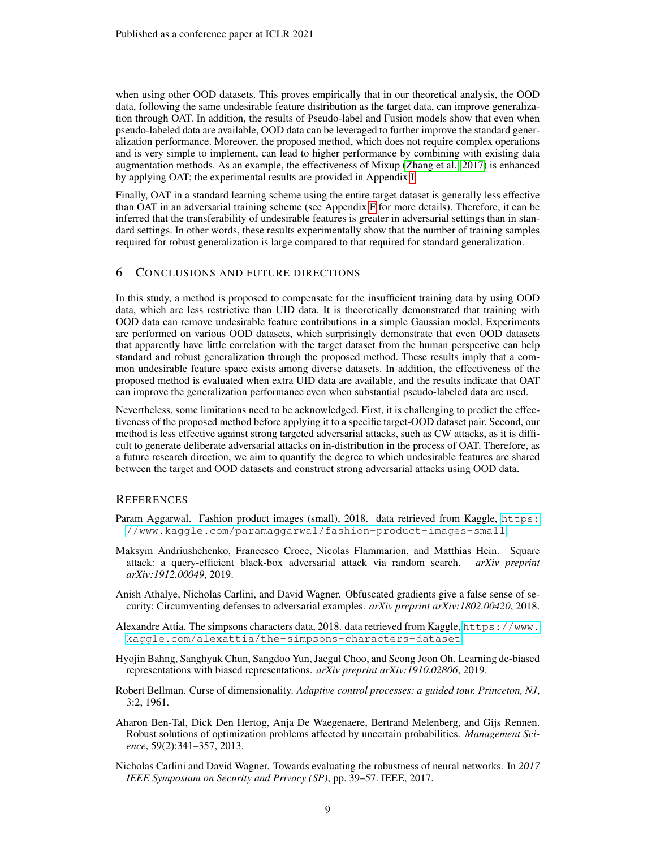when using other OOD datasets. This proves empirically that in our theoretical analysis, the OOD data, following the same undesirable feature distribution as the target data, can improve generalization through OAT. In addition, the results of Pseudo-label and Fusion models show that even when pseudo-labeled data are available, OOD data can be leveraged to further improve the standard generalization performance. Moreover, the proposed method, which does not require complex operations and is very simple to implement, can lead to higher performance by combining with existing data augmentation methods. As an example, the effectiveness of Mixup [\(Zhang et al., 2017\)](#page-11-4) is enhanced by applying OAT; the experimental results are provided in Appendix [I.](#page-17-1)

Finally, OAT in a standard learning scheme using the entire target dataset is generally less effective than OAT in an adversarial training scheme (see Appendix [F](#page-14-2) for more details). Therefore, it can be inferred that the transferability of undesirable features is greater in adversarial settings than in standard settings. In other words, these results experimentally show that the number of training samples required for robust generalization is large compared to that required for standard generalization.

### 6 CONCLUSIONS AND FUTURE DIRECTIONS

In this study, a method is proposed to compensate for the insufficient training data by using OOD data, which are less restrictive than UID data. It is theoretically demonstrated that training with OOD data can remove undesirable feature contributions in a simple Gaussian model. Experiments are performed on various OOD datasets, which surprisingly demonstrate that even OOD datasets that apparently have little correlation with the target dataset from the human perspective can help standard and robust generalization through the proposed method. These results imply that a common undesirable feature space exists among diverse datasets. In addition, the effectiveness of the proposed method is evaluated when extra UID data are available, and the results indicate that OAT can improve the generalization performance even when substantial pseudo-labeled data are used.

Nevertheless, some limitations need to be acknowledged. First, it is challenging to predict the effectiveness of the proposed method before applying it to a specific target-OOD dataset pair. Second, our method is less effective against strong targeted adversarial attacks, such as CW attacks, as it is difficult to generate deliberate adversarial attacks on in-distribution in the process of OAT. Therefore, as a future research direction, we aim to quantify the degree to which undesirable features are shared between the target and OOD datasets and construct strong adversarial attacks using OOD data.

#### **REFERENCES**

- <span id="page-8-2"></span>Param Aggarwal. Fashion product images (small), 2018. data retrieved from Kaggle, [https:]( https://www.kaggle.com/paramaggarwal/fashion-product-images-small) [//www.kaggle.com/paramaggarwal/fashion-product-images-small]( https://www.kaggle.com/paramaggarwal/fashion-product-images-small).
- <span id="page-8-5"></span>Maksym Andriushchenko, Francesco Croce, Nicolas Flammarion, and Matthias Hein. Square attack: a query-efficient black-box adversarial attack via random search. *arXiv preprint arXiv:1912.00049*, 2019.
- <span id="page-8-6"></span>Anish Athalye, Nicholas Carlini, and David Wagner. Obfuscated gradients give a false sense of security: Circumventing defenses to adversarial examples. *arXiv preprint arXiv:1802.00420*, 2018.
- <span id="page-8-1"></span>Alexandre Attia. The simpsons characters data, 2018. data retrieved from Kaggle, [https://www.]( https://www.kaggle.com/alexattia/the-simpsons-characters-dataset) [kaggle.com/alexattia/the-simpsons-characters-dataset]( https://www.kaggle.com/alexattia/the-simpsons-characters-dataset).
- <span id="page-8-3"></span>Hyojin Bahng, Sanghyuk Chun, Sangdoo Yun, Jaegul Choo, and Seong Joon Oh. Learning de-biased representations with biased representations. *arXiv preprint arXiv:1910.02806*, 2019.
- <span id="page-8-0"></span>Robert Bellman. Curse of dimensionality. *Adaptive control processes: a guided tour. Princeton, NJ*, 3:2, 1961.
- <span id="page-8-7"></span>Aharon Ben-Tal, Dick Den Hertog, Anja De Waegenaere, Bertrand Melenberg, and Gijs Rennen. Robust solutions of optimization problems affected by uncertain probabilities. *Management Science*, 59(2):341–357, 2013.
- <span id="page-8-4"></span>Nicholas Carlini and David Wagner. Towards evaluating the robustness of neural networks. In *2017 IEEE Symposium on Security and Privacy (SP)*, pp. 39–57. IEEE, 2017.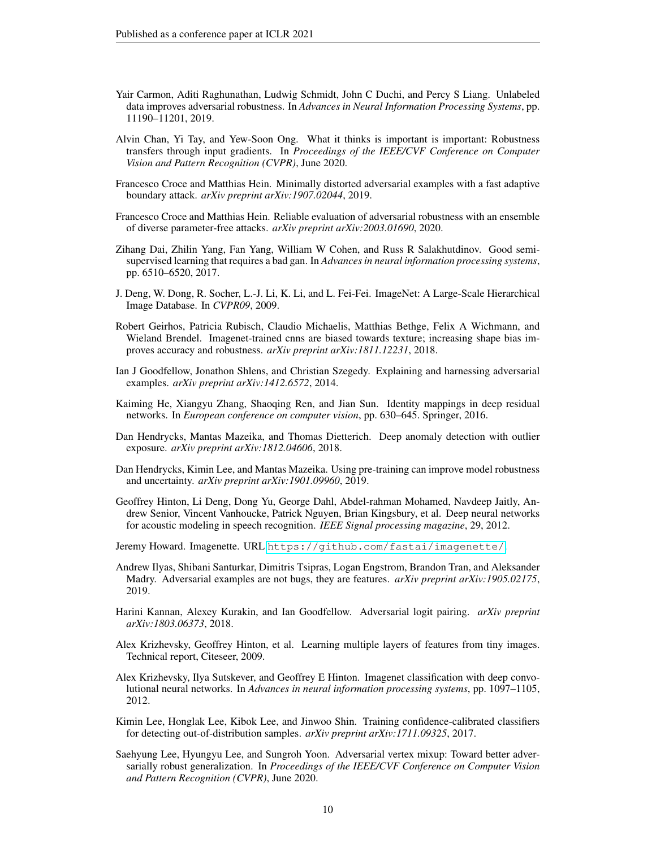- <span id="page-9-4"></span>Yair Carmon, Aditi Raghunathan, Ludwig Schmidt, John C Duchi, and Percy S Liang. Unlabeled data improves adversarial robustness. In *Advances in Neural Information Processing Systems*, pp. 11190–11201, 2019.
- <span id="page-9-16"></span>Alvin Chan, Yi Tay, and Yew-Soon Ong. What it thinks is important is important: Robustness transfers through input gradients. In *Proceedings of the IEEE/CVF Conference on Computer Vision and Pattern Recognition (CVPR)*, June 2020.
- <span id="page-9-9"></span>Francesco Croce and Matthias Hein. Minimally distorted adversarial examples with a fast adaptive boundary attack. *arXiv preprint arXiv:1907.02044*, 2019.
- <span id="page-9-8"></span>Francesco Croce and Matthias Hein. Reliable evaluation of adversarial robustness with an ensemble of diverse parameter-free attacks. *arXiv preprint arXiv:2003.01690*, 2020.
- <span id="page-9-13"></span>Zihang Dai, Zhilin Yang, Fan Yang, William W Cohen, and Russ R Salakhutdinov. Good semisupervised learning that requires a bad gan. In *Advances in neural information processing systems*, pp. 6510–6520, 2017.
- <span id="page-9-6"></span>J. Deng, W. Dong, R. Socher, L.-J. Li, K. Li, and L. Fei-Fei. ImageNet: A Large-Scale Hierarchical Image Database. In *CVPR09*, 2009.
- <span id="page-9-7"></span>Robert Geirhos, Patricia Rubisch, Claudio Michaelis, Matthias Bethge, Felix A Wichmann, and Wieland Brendel. Imagenet-trained cnns are biased towards texture; increasing shape bias improves accuracy and robustness. *arXiv preprint arXiv:1811.12231*, 2018.
- <span id="page-9-2"></span>Ian J Goodfellow, Jonathon Shlens, and Christian Szegedy. Explaining and harnessing adversarial examples. *arXiv preprint arXiv:1412.6572*, 2014.
- <span id="page-9-14"></span>Kaiming He, Xiangyu Zhang, Shaoqing Ren, and Jian Sun. Identity mappings in deep residual networks. In *European conference on computer vision*, pp. 630–645. Springer, 2016.
- <span id="page-9-12"></span>Dan Hendrycks, Mantas Mazeika, and Thomas Dietterich. Deep anomaly detection with outlier exposure. *arXiv preprint arXiv:1812.04606*, 2018.
- <span id="page-9-17"></span>Dan Hendrycks, Kimin Lee, and Mantas Mazeika. Using pre-training can improve model robustness and uncertainty. *arXiv preprint arXiv:1901.09960*, 2019.
- <span id="page-9-1"></span>Geoffrey Hinton, Li Deng, Dong Yu, George Dahl, Abdel-rahman Mohamed, Navdeep Jaitly, Andrew Senior, Vincent Vanhoucke, Patrick Nguyen, Brian Kingsbury, et al. Deep neural networks for acoustic modeling in speech recognition. *IEEE Signal processing magazine*, 29, 2012.
- <span id="page-9-15"></span>Jeremy Howard. Imagenette. URL <https://github.com/fastai/imagenette/>.
- <span id="page-9-18"></span>Andrew Ilyas, Shibani Santurkar, Dimitris Tsipras, Logan Engstrom, Brandon Tran, and Aleksander Madry. Adversarial examples are not bugs, they are features. *arXiv preprint arXiv:1905.02175*, 2019.
- <span id="page-9-10"></span>Harini Kannan, Alexey Kurakin, and Ian Goodfellow. Adversarial logit pairing. *arXiv preprint arXiv:1803.06373*, 2018.
- <span id="page-9-5"></span>Alex Krizhevsky, Geoffrey Hinton, et al. Learning multiple layers of features from tiny images. Technical report, Citeseer, 2009.
- <span id="page-9-0"></span>Alex Krizhevsky, Ilya Sutskever, and Geoffrey E Hinton. Imagenet classification with deep convolutional neural networks. In *Advances in neural information processing systems*, pp. 1097–1105, 2012.
- <span id="page-9-11"></span>Kimin Lee, Honglak Lee, Kibok Lee, and Jinwoo Shin. Training confidence-calibrated classifiers for detecting out-of-distribution samples. *arXiv preprint arXiv:1711.09325*, 2017.
- <span id="page-9-3"></span>Saehyung Lee, Hyungyu Lee, and Sungroh Yoon. Adversarial vertex mixup: Toward better adversarially robust generalization. In *Proceedings of the IEEE/CVF Conference on Computer Vision and Pattern Recognition (CVPR)*, June 2020.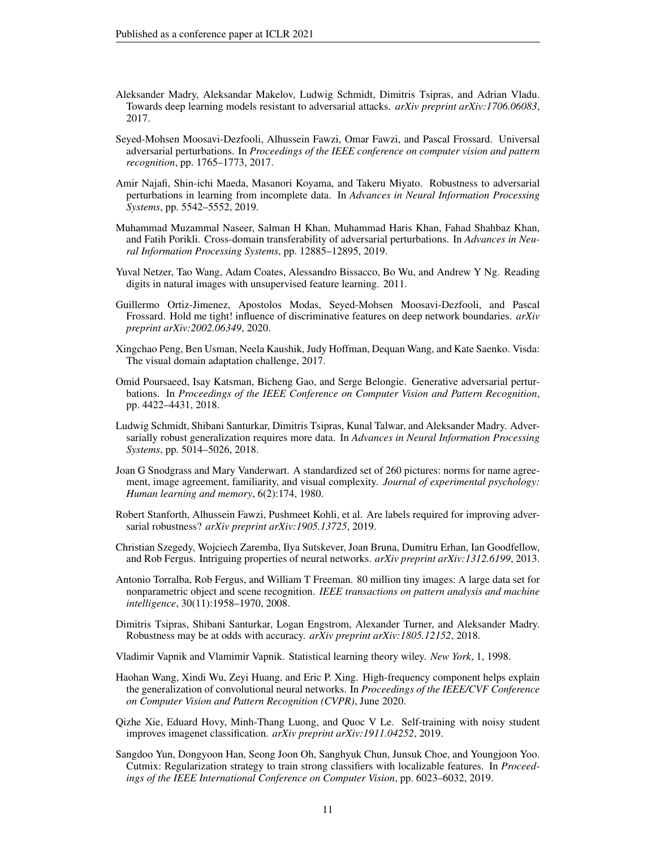- <span id="page-10-2"></span>Aleksander Madry, Aleksandar Makelov, Ludwig Schmidt, Dimitris Tsipras, and Adrian Vladu. Towards deep learning models resistant to adversarial attacks. *arXiv preprint arXiv:1706.06083*, 2017.
- <span id="page-10-11"></span>Seyed-Mohsen Moosavi-Dezfooli, Alhussein Fawzi, Omar Fawzi, and Pascal Frossard. Universal adversarial perturbations. In *Proceedings of the IEEE conference on computer vision and pattern recognition*, pp. 1765–1773, 2017.
- <span id="page-10-16"></span>Amir Najafi, Shin-ichi Maeda, Masanori Koyama, and Takeru Miyato. Robustness to adversarial perturbations in learning from incomplete data. In *Advances in Neural Information Processing Systems*, pp. 5542–5552, 2019.
- <span id="page-10-5"></span>Muhammad Muzammal Naseer, Salman H Khan, Muhammad Haris Khan, Fahad Shahbaz Khan, and Fatih Porikli. Cross-domain transferability of adversarial perturbations. In *Advances in Neural Information Processing Systems*, pp. 12885–12895, 2019.
- <span id="page-10-7"></span>Yuval Netzer, Tao Wang, Adam Coates, Alessandro Bissacco, Bo Wu, and Andrew Y Ng. Reading digits in natural images with unsupervised feature learning. 2011.
- <span id="page-10-17"></span>Guillermo Ortiz-Jimenez, Apostolos Modas, Seyed-Mohsen Moosavi-Dezfooli, and Pascal Frossard. Hold me tight! influence of discriminative features on deep network boundaries. *arXiv preprint arXiv:2002.06349*, 2020.
- <span id="page-10-8"></span>Xingchao Peng, Ben Usman, Neela Kaushik, Judy Hoffman, Dequan Wang, and Kate Saenko. Visda: The visual domain adaptation challenge, 2017.
- <span id="page-10-6"></span>Omid Poursaeed, Isay Katsman, Bicheng Gao, and Serge Belongie. Generative adversarial perturbations. In *Proceedings of the IEEE Conference on Computer Vision and Pattern Recognition*, pp. 4422–4431, 2018.
- <span id="page-10-3"></span>Ludwig Schmidt, Shibani Santurkar, Dimitris Tsipras, Kunal Talwar, and Aleksander Madry. Adversarially robust generalization requires more data. In *Advances in Neural Information Processing Systems*, pp. 5014–5026, 2018.
- <span id="page-10-14"></span>Joan G Snodgrass and Mary Vanderwart. A standardized set of 260 pictures: norms for name agreement, image agreement, familiarity, and visual complexity. *Journal of experimental psychology: Human learning and memory*, 6(2):174, 1980.
- <span id="page-10-15"></span>Robert Stanforth, Alhussein Fawzi, Pushmeet Kohli, et al. Are labels required for improving adversarial robustness? *arXiv preprint arXiv:1905.13725*, 2019.
- <span id="page-10-1"></span>Christian Szegedy, Wojciech Zaremba, Ilya Sutskever, Joan Bruna, Dumitru Erhan, Ian Goodfellow, and Rob Fergus. Intriguing properties of neural networks. *arXiv preprint arXiv:1312.6199*, 2013.
- <span id="page-10-12"></span>Antonio Torralba, Rob Fergus, and William T Freeman. 80 million tiny images: A large data set for nonparametric object and scene recognition. *IEEE transactions on pattern analysis and machine intelligence*, 30(11):1958–1970, 2008.
- <span id="page-10-9"></span>Dimitris Tsipras, Shibani Santurkar, Logan Engstrom, Alexander Turner, and Aleksander Madry. Robustness may be at odds with accuracy. *arXiv preprint arXiv:1805.12152*, 2018.

<span id="page-10-0"></span>Vladimir Vapnik and Vlamimir Vapnik. Statistical learning theory wiley. *New York*, 1, 1998.

- <span id="page-10-10"></span>Haohan Wang, Xindi Wu, Zeyi Huang, and Eric P. Xing. High-frequency component helps explain the generalization of convolutional neural networks. In *Proceedings of the IEEE/CVF Conference on Computer Vision and Pattern Recognition (CVPR)*, June 2020.
- <span id="page-10-4"></span>Qizhe Xie, Eduard Hovy, Minh-Thang Luong, and Quoc V Le. Self-training with noisy student improves imagenet classification. *arXiv preprint arXiv:1911.04252*, 2019.
- <span id="page-10-13"></span>Sangdoo Yun, Dongyoon Han, Seong Joon Oh, Sanghyuk Chun, Junsuk Choe, and Youngjoon Yoo. Cutmix: Regularization strategy to train strong classifiers with localizable features. In *Proceedings of the IEEE International Conference on Computer Vision*, pp. 6023–6032, 2019.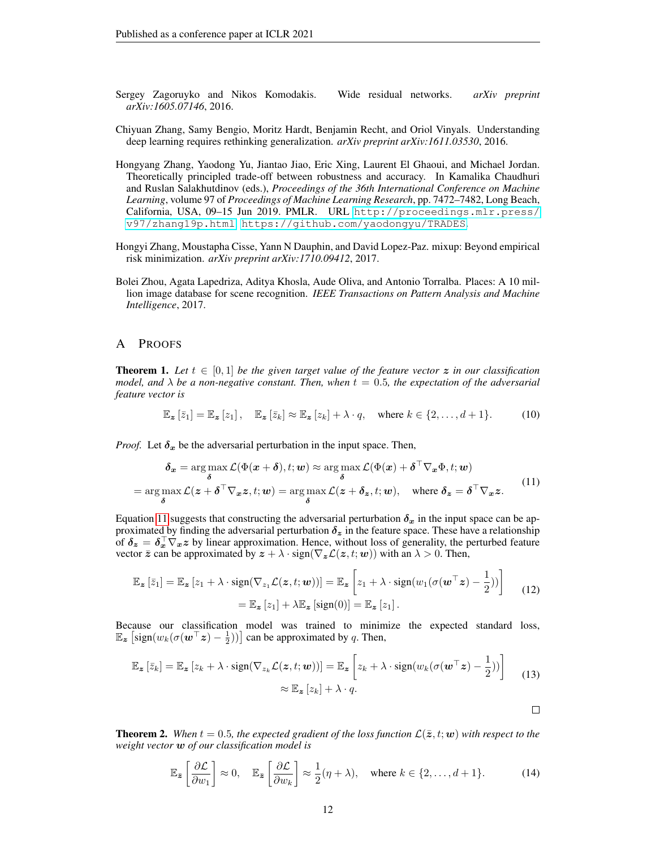- <span id="page-11-6"></span>Sergey Zagoruyko and Nikos Komodakis. Wide residual networks. *arXiv preprint arXiv:1605.07146*, 2016.
- <span id="page-11-3"></span>Chiyuan Zhang, Samy Bengio, Moritz Hardt, Benjamin Recht, and Oriol Vinyals. Understanding deep learning requires rethinking generalization. *arXiv preprint arXiv:1611.03530*, 2016.
- <span id="page-11-2"></span>Hongyang Zhang, Yaodong Yu, Jiantao Jiao, Eric Xing, Laurent El Ghaoui, and Michael Jordan. Theoretically principled trade-off between robustness and accuracy. In Kamalika Chaudhuri and Ruslan Salakhutdinov (eds.), *Proceedings of the 36th International Conference on Machine Learning*, volume 97 of *Proceedings of Machine Learning Research*, pp. 7472–7482, Long Beach, California, USA, 09–15 Jun 2019. PMLR. URL [http://proceedings.mlr.press/](http://proceedings.mlr.press/v97/zhang19p.html) [v97/zhang19p.html](http://proceedings.mlr.press/v97/zhang19p.html). <https://github.com/yaodongyu/TRADES>.
- <span id="page-11-4"></span>Hongyi Zhang, Moustapha Cisse, Yann N Dauphin, and David Lopez-Paz. mixup: Beyond empirical risk minimization. *arXiv preprint arXiv:1710.09412*, 2017.
- <span id="page-11-0"></span>Bolei Zhou, Agata Lapedriza, Aditya Khosla, Aude Oliva, and Antonio Torralba. Places: A 10 million image database for scene recognition. *IEEE Transactions on Pattern Analysis and Machine Intelligence*, 2017.

#### <span id="page-11-1"></span>A PROOFS

**Theorem 1.** Let  $t \in [0,1]$  be the given target value of the feature vector z in our classification *model, and*  $\lambda$  *be a non-negative constant. Then, when*  $t = 0.5$ *, the expectation of the adversarial feature vector is*

$$
\mathbb{E}_{\mathbf{z}}\left[\bar{z}_{1}\right] = \mathbb{E}_{\mathbf{z}}\left[z_{1}\right], \quad \mathbb{E}_{\mathbf{z}}\left[\bar{z}_{k}\right] \approx \mathbb{E}_{\mathbf{z}}\left[z_{k}\right] + \lambda \cdot q, \quad \text{where } k \in \{2, \ldots, d+1\}.
$$
 (10)

*Proof.* Let  $\delta_x$  be the adversarial perturbation in the input space. Then,

<span id="page-11-5"></span>
$$
\delta_x = \arg \max_{\delta} \mathcal{L}(\Phi(x + \delta), t; \mathbf{w}) \approx \arg \max_{\delta} \mathcal{L}(\Phi(x) + \delta^{\top} \nabla_x \Phi, t; \mathbf{w})
$$
  
= 
$$
\arg \max_{\delta} \mathcal{L}(z + \delta^{\top} \nabla_x z, t; \mathbf{w}) = \arg \max_{\delta} \mathcal{L}(z + \delta_z, t; \mathbf{w}), \text{ where } \delta_z = \delta^{\top} \nabla_x z.
$$
 (11)

Equation [11](#page-11-5) suggests that constructing the adversarial perturbation  $\delta_x$  in the input space can be approximated by finding the adversarial perturbation  $\delta_z$  in the feature space. These have a relationship of  $\delta_z = \delta_x^{\top} \nabla_x z$  by linear approximation. Hence, without loss of generality, the perturbed feature vector  $\bar{z}$  can be approximated by  $z + \lambda \cdot \text{sign}(\nabla_z \mathcal{L}(z, t; w))$  with an  $\lambda > 0$ . Then,

$$
\mathbb{E}_{\mathbf{z}}\left[\bar{z}_{1}\right] = \mathbb{E}_{\mathbf{z}}\left[z_{1} + \lambda \cdot \text{sign}(\nabla_{z_{1}}\mathcal{L}(\mathbf{z}, t; \boldsymbol{w}))\right] = \mathbb{E}_{\mathbf{z}}\left[z_{1} + \lambda \cdot \text{sign}(w_{1}(\sigma(\boldsymbol{w}^{\top}\mathbf{z}) - \frac{1}{2}))\right]
$$
\n
$$
= \mathbb{E}_{\mathbf{z}}\left[z_{1}\right] + \lambda \mathbb{E}_{\mathbf{z}}\left[\text{sign}(0)\right] = \mathbb{E}_{\mathbf{z}}\left[z_{1}\right].
$$
\n(12)

Because our classification model was trained to minimize the expected standard loss,  $\mathbb{E}_{\boldsymbol{z}}\left[\text{sign}(w_k(\sigma(\boldsymbol{w}^\top \boldsymbol{z}) - \frac{1}{2}))\right]$  can be approximated by q. Then,

$$
\mathbb{E}_{\mathbf{z}}\left[\bar{z}_k\right] = \mathbb{E}_{\mathbf{z}}\left[z_k + \lambda \cdot \text{sign}(\nabla_{z_k}\mathcal{L}(\mathbf{z}, t; \boldsymbol{w}))\right] = \mathbb{E}_{\mathbf{z}}\left[z_k + \lambda \cdot \text{sign}(w_k(\sigma(\boldsymbol{w}^\top \mathbf{z}) - \frac{1}{2}))\right] \tag{13}
$$
\n
$$
\approx \mathbb{E}_{\mathbf{z}}\left[z_k\right] + \lambda \cdot q.
$$

**Theorem 2.** When  $t = 0.5$ , the expected gradient of the loss function  $\mathcal{L}(\bar{z}, t; \mathbf{w})$  with respect to the *weight vector* w *of our classification model is*

$$
\mathbb{E}_{\bar{\mathbf{z}}}\left[\frac{\partial \mathcal{L}}{\partial w_1}\right] \approx 0, \quad \mathbb{E}_{\bar{\mathbf{z}}}\left[\frac{\partial \mathcal{L}}{\partial w_k}\right] \approx \frac{1}{2}(\eta + \lambda), \quad \text{where } k \in \{2, \dots, d+1\}.
$$
 (14)

 $\Box$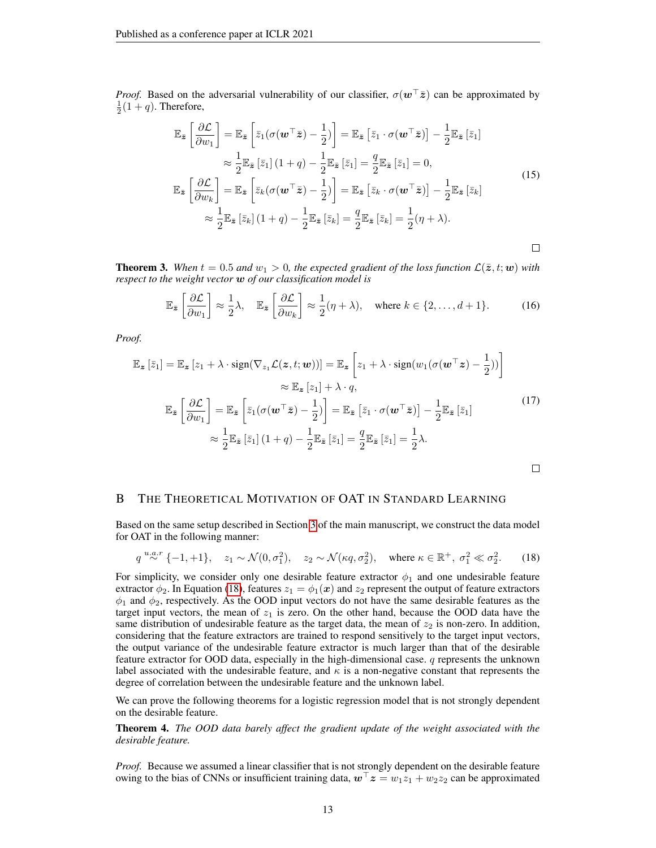*Proof.* Based on the adversarial vulnerability of our classifier,  $\sigma(\mathbf{w}^{\top} \bar{z})$  can be approximated by  $\frac{1}{2}(1+q)$ . Therefore,

$$
\mathbb{E}_{\bar{z}}\left[\frac{\partial \mathcal{L}}{\partial w_{1}}\right] = \mathbb{E}_{\bar{z}}\left[\bar{z}_{1}(\sigma(\boldsymbol{w}^{\top}\bar{z}) - \frac{1}{2})\right] = \mathbb{E}_{\bar{z}}\left[\bar{z}_{1} \cdot \sigma(\boldsymbol{w}^{\top}\bar{z})\right] - \frac{1}{2}\mathbb{E}_{\bar{z}}\left[\bar{z}_{1}\right] \n\approx \frac{1}{2}\mathbb{E}_{\bar{z}}\left[\bar{z}_{1}\right](1+q) - \frac{1}{2}\mathbb{E}_{\bar{z}}\left[\bar{z}_{1}\right] = \frac{q}{2}\mathbb{E}_{\bar{z}}\left[\bar{z}_{1}\right] = 0, \n\mathbb{E}_{\bar{z}}\left[\frac{\partial \mathcal{L}}{\partial w_{k}}\right] = \mathbb{E}_{\bar{z}}\left[\bar{z}_{k}(\sigma(\boldsymbol{w}^{\top}\bar{z}) - \frac{1}{2})\right] = \mathbb{E}_{\bar{z}}\left[\bar{z}_{k} \cdot \sigma(\boldsymbol{w}^{\top}\bar{z})\right] - \frac{1}{2}\mathbb{E}_{\bar{z}}\left[\bar{z}_{k}\right] \n\approx \frac{1}{2}\mathbb{E}_{\bar{z}}\left[\bar{z}_{k}\right](1+q) - \frac{1}{2}\mathbb{E}_{\bar{z}}\left[\bar{z}_{k}\right] = \frac{q}{2}\mathbb{E}_{\bar{z}}\left[\bar{z}_{k}\right] = \frac{1}{2}(\eta + \lambda).
$$
\n(15)

 $\Box$ 

**Theorem 3.** When  $t = 0.5$  and  $w_1 > 0$ , the expected gradient of the loss function  $\mathcal{L}(\bar{z}, t; w)$  with *respect to the weight vector* w *of our classification model is*

$$
\mathbb{E}_{\bar{\mathbf{z}}}\left[\frac{\partial \mathcal{L}}{\partial w_1}\right] \approx \frac{1}{2}\lambda, \quad \mathbb{E}_{\bar{\mathbf{z}}}\left[\frac{\partial \mathcal{L}}{\partial w_k}\right] \approx \frac{1}{2}(\eta + \lambda), \quad \text{where } k \in \{2, \dots, d+1\}.
$$
 (16)

*Proof.*

$$
\mathbb{E}_{\mathbf{z}}\left[\bar{z}_{1}\right] = \mathbb{E}_{\mathbf{z}}\left[z_{1} + \lambda \cdot \text{sign}(\nabla_{z_{1}}\mathcal{L}(\mathbf{z}, t; \boldsymbol{w}))\right] = \mathbb{E}_{\mathbf{z}}\left[z_{1} + \lambda \cdot \text{sign}(w_{1}(\sigma(\boldsymbol{w}^{\top}\mathbf{z}) - \frac{1}{2}))\right]
$$
\n
$$
\approx \mathbb{E}_{\mathbf{z}}\left[z_{1}\right] + \lambda \cdot q,
$$
\n
$$
\mathbb{E}_{\bar{z}}\left[\frac{\partial \mathcal{L}}{\partial w_{1}}\right] = \mathbb{E}_{\bar{z}}\left[\bar{z}_{1}(\sigma(\boldsymbol{w}^{\top}\bar{z}) - \frac{1}{2})\right] = \mathbb{E}_{\bar{z}}\left[\bar{z}_{1} \cdot \sigma(\boldsymbol{w}^{\top}\bar{z})\right] - \frac{1}{2}\mathbb{E}_{\bar{z}}\left[\bar{z}_{1}\right]
$$
\n
$$
\approx \frac{1}{2}\mathbb{E}_{\bar{z}}\left[\bar{z}_{1}\right](1 + q) - \frac{1}{2}\mathbb{E}_{\bar{z}}\left[\bar{z}_{1}\right] = \frac{q}{2}\mathbb{E}_{\bar{z}}\left[\bar{z}_{1}\right] = \frac{1}{2}\lambda.
$$
\n
$$
\Box
$$

#### <span id="page-12-0"></span>B THE THEORETICAL MOTIVATION OF OAT IN STANDARD LEARNING

Based on the same setup described in Section [3](#page-2-1) of the main manuscript, we construct the data model for OAT in the following manner:

<span id="page-12-1"></span>
$$
q \stackrel{u.a.r}{\sim} \{-1,+1\}, \quad z_1 \sim \mathcal{N}(0,\sigma_1^2), \quad z_2 \sim \mathcal{N}(\kappa q, \sigma_2^2), \quad \text{where } \kappa \in \mathbb{R}^+, \sigma_1^2 \ll \sigma_2^2. \tag{18}
$$

For simplicity, we consider only one desirable feature extractor  $\phi_1$  and one undesirable feature extractor  $\phi_2$ . In Equation [\(18\)](#page-12-1), features  $z_1 = \phi_1(x)$  and  $z_2$  represent the output of feature extractors  $\phi_1$  and  $\phi_2$ , respectively. As the OOD input vectors do not have the same desirable features as the target input vectors, the mean of  $z<sub>1</sub>$  is zero. On the other hand, because the OOD data have the same distribution of undesirable feature as the target data, the mean of  $z_2$  is non-zero. In addition, considering that the feature extractors are trained to respond sensitively to the target input vectors, the output variance of the undesirable feature extractor is much larger than that of the desirable feature extractor for OOD data, especially in the high-dimensional case.  $q$  represents the unknown label associated with the undesirable feature, and  $\kappa$  is a non-negative constant that represents the degree of correlation between the undesirable feature and the unknown label.

We can prove the following theorems for a logistic regression model that is not strongly dependent on the desirable feature.

Theorem 4. *The OOD data barely affect the gradient update of the weight associated with the desirable feature.*

*Proof.* Because we assumed a linear classifier that is not strongly dependent on the desirable feature owing to the bias of CNNs or insufficient training data,  $\mathbf{w}^{\top} \mathbf{z} = w_1 z_1 + w_2 z_2$  can be approximated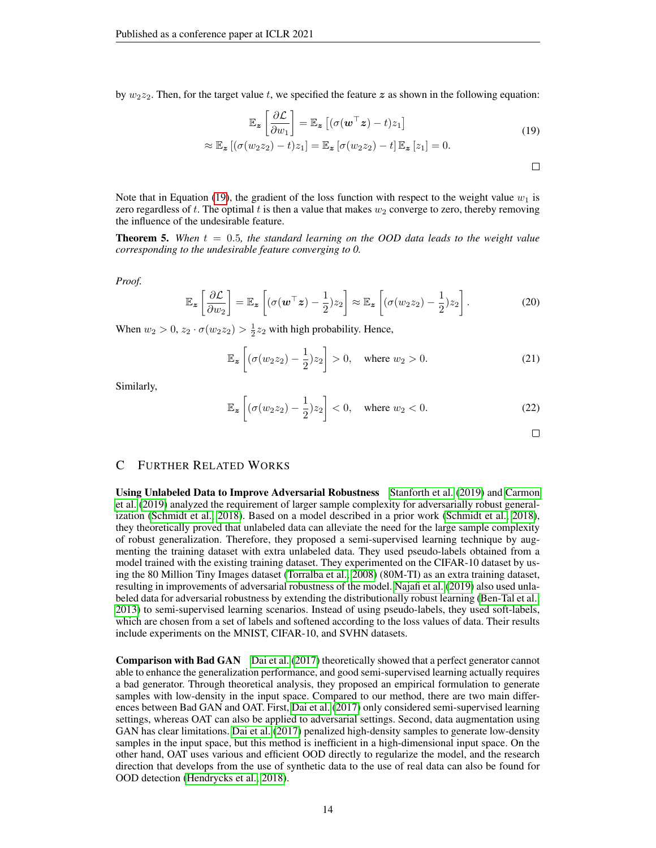by  $w_2z_2$ . Then, for the target value t, we specified the feature z as shown in the following equation:

<span id="page-13-1"></span>
$$
\mathbb{E}_{\mathbf{z}}\left[\frac{\partial \mathcal{L}}{\partial w_{1}}\right] = \mathbb{E}_{\mathbf{z}}\left[(\sigma(\mathbf{w}^{\top} \mathbf{z}) - t)z_{1}\right]
$$
\n
$$
\approx \mathbb{E}_{\mathbf{z}}\left[(\sigma(w_{2}z_{2}) - t)z_{1}\right] = \mathbb{E}_{\mathbf{z}}\left[\sigma(w_{2}z_{2}) - t\right]\mathbb{E}_{\mathbf{z}}\left[z_{1}\right] = 0.
$$
\n(19)

Note that in Equation [\(19\)](#page-13-1), the gradient of the loss function with respect to the weight value  $w_1$  is zero regardless of t. The optimal t is then a value that makes  $w_2$  converge to zero, thereby removing the influence of the undesirable feature.

**Theorem 5.** When  $t = 0.5$ , the standard learning on the OOD data leads to the weight value *corresponding to the undesirable feature converging to 0.*

*Proof.*

$$
\mathbb{E}_{\mathbf{z}}\left[\frac{\partial \mathcal{L}}{\partial w_2}\right] = \mathbb{E}_{\mathbf{z}}\left[ (\sigma(\mathbf{w}^\top \mathbf{z}) - \frac{1}{2})z_2 \right] \approx \mathbb{E}_{\mathbf{z}}\left[ (\sigma(w_2 z_2) - \frac{1}{2})z_2 \right].
$$
 (20)

When  $w_2 > 0$ ,  $z_2 \cdot \sigma(w_2 z_2) > \frac{1}{2} z_2$  with high probability. Hence,

$$
\mathbb{E}_{\mathbf{z}}\left[ (\sigma(w_2 z_2) - \frac{1}{2}) z_2 \right] > 0, \quad \text{where } w_2 > 0.
$$
 (21)

Similarly,

$$
\mathbb{E}_{\mathbf{z}}\left[ (\sigma(w_2 z_2) - \frac{1}{2}) z_2 \right] < 0, \quad \text{where } w_2 < 0. \tag{22}
$$

## <span id="page-13-0"></span>C FURTHER RELATED WORKS

Using Unlabeled Data to Improve Adversarial Robustness [Stanforth et al.](#page-10-15) [\(2019\)](#page-10-15) and [Carmon](#page-9-4) [et al.](#page-9-4) [\(2019\)](#page-9-4) analyzed the requirement of larger sample complexity for adversarially robust generalization [\(Schmidt et al., 2018\)](#page-10-3). Based on a model described in a prior work [\(Schmidt et al., 2018\)](#page-10-3), they theoretically proved that unlabeled data can alleviate the need for the large sample complexity of robust generalization. Therefore, they proposed a semi-supervised learning technique by augmenting the training dataset with extra unlabeled data. They used pseudo-labels obtained from a model trained with the existing training dataset. They experimented on the CIFAR-10 dataset by using the 80 Million Tiny Images dataset [\(Torralba et al., 2008\)](#page-10-12) (80M-TI) as an extra training dataset, resulting in improvements of adversarial robustness of the model. [Najafi et al.](#page-10-16) [\(2019\)](#page-10-16) also used unlabeled data for adversarial robustness by extending the distributionally robust learning [\(Ben-Tal et al.,](#page-8-7) [2013\)](#page-8-7) to semi-supervised learning scenarios. Instead of using pseudo-labels, they used soft-labels, which are chosen from a set of labels and softened according to the loss values of data. Their results include experiments on the MNIST, CIFAR-10, and SVHN datasets.

**Comparison with Bad GAN** [Dai et al.](#page-9-13) [\(2017\)](#page-9-13) theoretically showed that a perfect generator cannot able to enhance the generalization performance, and good semi-supervised learning actually requires a bad generator. Through theoretical analysis, they proposed an empirical formulation to generate samples with low-density in the input space. Compared to our method, there are two main differences between Bad GAN and OAT. First, [Dai et al.](#page-9-13) [\(2017\)](#page-9-13) only considered semi-supervised learning settings, whereas OAT can also be applied to adversarial settings. Second, data augmentation using GAN has clear limitations. [Dai et al.](#page-9-13) [\(2017\)](#page-9-13) penalized high-density samples to generate low-density samples in the input space, but this method is inefficient in a high-dimensional input space. On the other hand, OAT uses various and efficient OOD directly to regularize the model, and the research direction that develops from the use of synthetic data to the use of real data can also be found for OOD detection [\(Hendrycks et al., 2018\)](#page-9-12).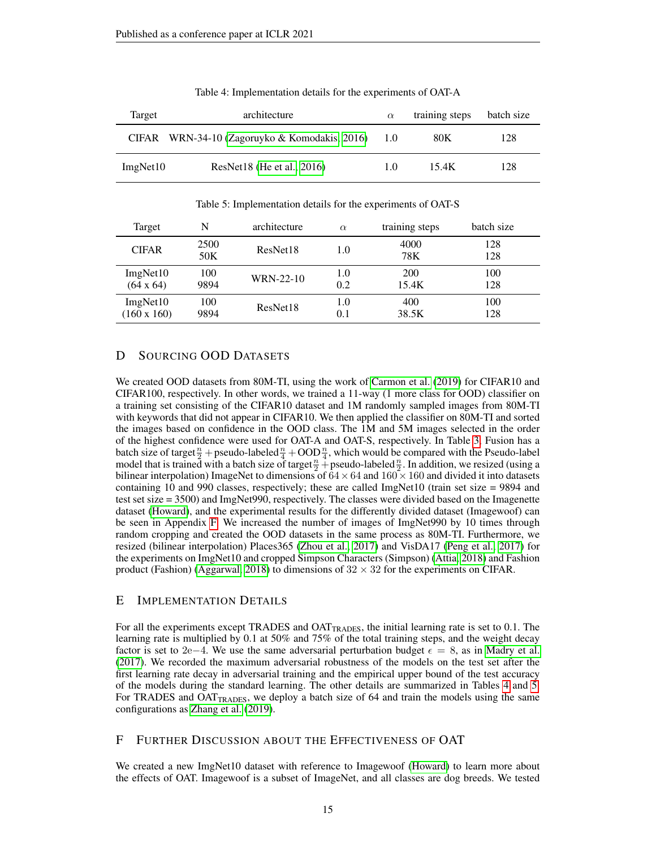<span id="page-14-3"></span>

| Target   | architecture                                  | $\alpha$ | training steps | batch size |
|----------|-----------------------------------------------|----------|----------------|------------|
|          | CIFAR WRN-34-10 (Zagoruyko & Komodakis, 2016) | 1.0      | 80K            | 128        |
| ImgNet10 | ResNet18 (He et al., 2016)                    | 1.0      | 15.4K          | 128        |

Table 4: Implementation details for the experiments of OAT-A

Table 5: Implementation details for the experiments of OAT-S

<span id="page-14-4"></span>

| Target             | N           | architecture | $\alpha$ | training steps | batch size |
|--------------------|-------------|--------------|----------|----------------|------------|
| <b>CIFAR</b>       | 2500<br>50K | ResNet18     | 1.0      | 4000<br>78K    | 128<br>128 |
| ImgNet10           | 100         | WRN-22-10    | 1.0      | 200            | 100        |
| $(64 \times 64)$   | 9894        |              | 0.2      | 15.4K          | 128        |
| ImgNet10           | 100         | ResNet18     | 1.0      | 400            | 100        |
| $(160 \times 160)$ | 9894        |              | 0.1      | 38.5K          | 128        |

## <span id="page-14-0"></span>D SOURCING OOD DATASETS

We created OOD datasets from 80M-TI, using the work of [Carmon et al.](#page-9-4) [\(2019\)](#page-9-4) for CIFAR10 and CIFAR100, respectively. In other words, we trained a 11-way (1 more class for OOD) classifier on a training set consisting of the CIFAR10 dataset and 1M randomly sampled images from 80M-TI with keywords that did not appear in CIFAR10. We then applied the classifier on 80M-TI and sorted the images based on confidence in the OOD class. The 1M and 5M images selected in the order of the highest confidence were used for OAT-A and OAT-S, respectively. In Table [3,](#page-7-2) Fusion has a batch size of target  $\frac{n}{2}$  + pseudo-labeled  $\frac{n}{4}$  + OOD  $\frac{n}{4}$ , which would be compared with the Pseudo-label model that is trained with a batch size of target  $\frac{n}{2}$  + pseudo-labeled  $\frac{n}{2}$ . In addition, we resized (using a bilinear interpolation) ImageNet to dimensions of  $64 \times 64$  and  $160 \times 160$  and divided it into datasets containing 10 and 990 classes, respectively; these are called ImgNet10 (train set size = 9894 and test set size = 3500) and ImgNet990, respectively. The classes were divided based on the Imagenette dataset [\(Howard\)](#page-9-15), and the experimental results for the differently divided dataset (Imagewoof) can be seen in Appendix [F.](#page-14-2) We increased the number of images of ImgNet990 by 10 times through random cropping and created the OOD datasets in the same process as 80M-TI. Furthermore, we resized (bilinear interpolation) Places365 [\(Zhou et al., 2017\)](#page-11-0) and VisDA17 [\(Peng et al., 2017\)](#page-10-8) for the experiments on ImgNet10 and cropped Simpson Characters (Simpson) [\(Attia, 2018\)](#page-8-1) and Fashion product (Fashion) [\(Aggarwal, 2018\)](#page-8-2) to dimensions of  $32 \times 32$  for the experiments on CIFAR.

## <span id="page-14-1"></span>E IMPLEMENTATION DETAILS

For all the experiments except TRADES and  $OAT_{TRADES}$ , the initial learning rate is set to 0.1. The learning rate is multiplied by 0.1 at 50% and 75% of the total training steps, and the weight decay factor is set to 2e−4. We use the same adversarial perturbation budget  $\epsilon = 8$ , as in [Madry et al.](#page-10-2) [\(2017\)](#page-10-2). We recorded the maximum adversarial robustness of the models on the test set after the first learning rate decay in adversarial training and the empirical upper bound of the test accuracy of the models during the standard learning. The other details are summarized in Tables [4](#page-14-3) and [5.](#page-14-4) For TRADES and  $OAT_{TRADES}$ , we deploy a batch size of 64 and train the models using the same configurations as [Zhang et al.](#page-11-2) [\(2019\)](#page-11-2).

### <span id="page-14-2"></span>F FURTHER DISCUSSION ABOUT THE EFFECTIVENESS OF OAT

We created a new ImgNet10 dataset with reference to Imagewoof [\(Howard\)](#page-9-15) to learn more about the effects of OAT. Imagewoof is a subset of ImageNet, and all classes are dog breeds. We tested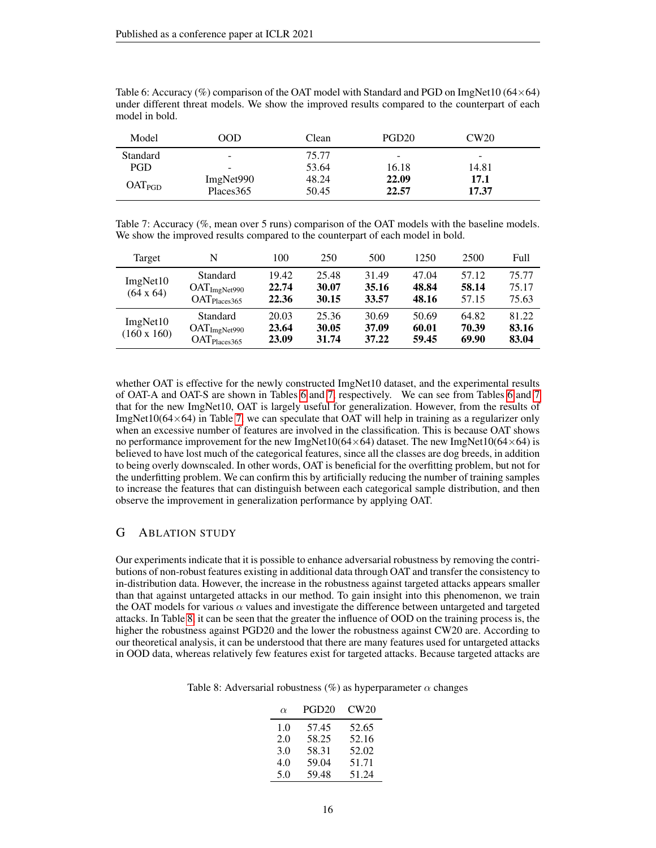| Model              | <b>OOD</b> | Clean | PGD <sub>20</sub>        | CW20  |  |
|--------------------|------------|-------|--------------------------|-------|--|
| Standard           | -          | 75.77 | $\overline{\phantom{0}}$ | -     |  |
| PGD                | -          | 53.64 | 16.18                    | 14.81 |  |
|                    | ImgNet990  | 48.24 | 22.09                    | 17.1  |  |
| OAT <sub>PGD</sub> | Places 365 | 50.45 | 22.57                    | 17.37 |  |

<span id="page-15-1"></span>Table 6: Accuracy (%) comparison of the OAT model with Standard and PGD on ImgNet10 ( $64\times64$ ) under different threat models. We show the improved results compared to the counterpart of each model in bold.

<span id="page-15-2"></span>Table 7: Accuracy (%, mean over 5 runs) comparison of the OAT models with the baseline models. We show the improved results compared to the counterpart of each model in bold.

| Target                         | N                                                                | 100                     | 250                     | 500                     | 1250                    | 2500                    | Full                    |
|--------------------------------|------------------------------------------------------------------|-------------------------|-------------------------|-------------------------|-------------------------|-------------------------|-------------------------|
| ImgNet10<br>$(64 \times 64)$   | Standard<br>OAT <sub>ImgNet990</sub><br>$OAT_{\text{Places}365}$ | 19.42<br>22.74<br>22.36 | 25.48<br>30.07<br>30.15 | 31.49<br>35.16<br>33.57 | 47.04<br>48.84<br>48.16 | 57.12<br>58.14<br>57.15 | 75.77<br>75.17<br>75.63 |
| ImgNet10<br>$(160 \times 160)$ | Standard<br>OAT <sub>ImgNet990</sub><br>$OAT_{\text{Places}365}$ | 20.03<br>23.64<br>23.09 | 25.36<br>30.05<br>31.74 | 30.69<br>37.09<br>37.22 | 50.69<br>60.01<br>59.45 | 64.82<br>70.39<br>69.90 | 81.22<br>83.16<br>83.04 |

whether OAT is effective for the newly constructed ImgNet10 dataset, and the experimental results of OAT-A and OAT-S are shown in Tables [6](#page-15-1) and [7,](#page-15-2) respectively. We can see from Tables [6](#page-15-1) and [7](#page-15-2) that for the new ImgNet10, OAT is largely useful for generalization. However, from the results of ImgNet10( $64\times64$ ) in Table [7,](#page-15-2) we can speculate that OAT will help in training as a regularizer only when an excessive number of features are involved in the classification. This is because OAT shows no performance improvement for the new ImgNet10( $64 \times 64$ ) dataset. The new ImgNet10( $64 \times 64$ ) is believed to have lost much of the categorical features, since all the classes are dog breeds, in addition to being overly downscaled. In other words, OAT is beneficial for the overfitting problem, but not for the underfitting problem. We can confirm this by artificially reducing the number of training samples to increase the features that can distinguish between each categorical sample distribution, and then observe the improvement in generalization performance by applying OAT.

### <span id="page-15-0"></span>G ABLATION STUDY

Our experiments indicate that it is possible to enhance adversarial robustness by removing the contributions of non-robust features existing in additional data through OAT and transfer the consistency to in-distribution data. However, the increase in the robustness against targeted attacks appears smaller than that against untargeted attacks in our method. To gain insight into this phenomenon, we train the OAT models for various  $\alpha$  values and investigate the difference between untargeted and targeted attacks. In Table [8,](#page-15-3) it can be seen that the greater the influence of OOD on the training process is, the higher the robustness against PGD20 and the lower the robustness against CW20 are. According to our theoretical analysis, it can be understood that there are many features used for untargeted attacks in OOD data, whereas relatively few features exist for targeted attacks. Because targeted attacks are

<span id="page-15-3"></span>

| Table 8: Adversarial robustness (%) as hyperparameter $\alpha$ changes |  |  |  |
|------------------------------------------------------------------------|--|--|--|
|------------------------------------------------------------------------|--|--|--|

| $\alpha$ | PGD <sub>20</sub> | CW20  |
|----------|-------------------|-------|
| 1.0      | 57.45             | 52.65 |
| 2.0      | 58.25             | 52.16 |
| 3.0      | 58.31             | 52.02 |
| 4.0      | 59.04             | 51.71 |
| 5.0      | 59.48             | 51.24 |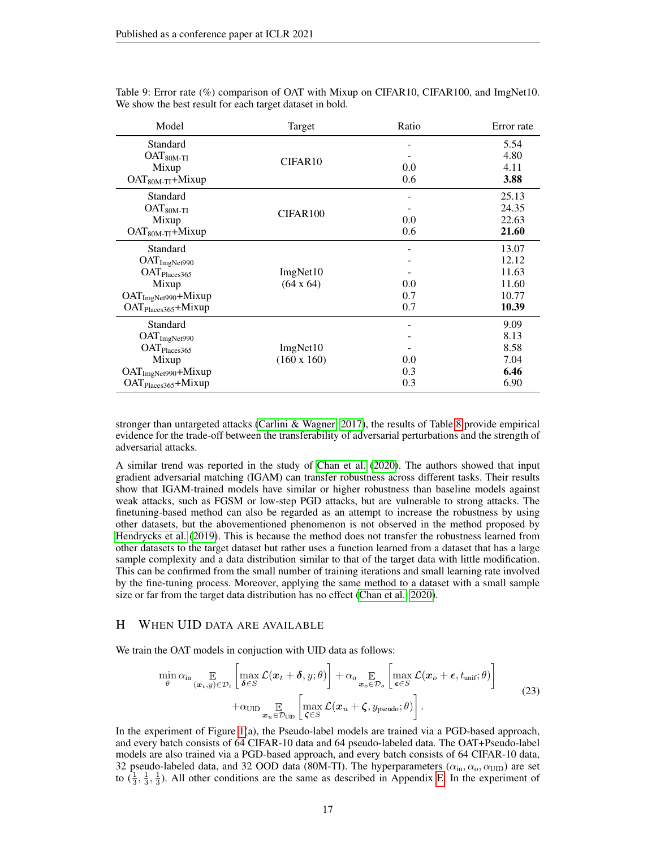| Model                           | Target             | Ratio | Error rate |
|---------------------------------|--------------------|-------|------------|
| Standard                        |                    |       | 5.54       |
| $OAT80M-TI$                     | CIFAR10            |       | 4.80       |
| Mixup                           |                    | 0.0   | 4.11       |
| $OAT80M-TI+Mixup$               |                    | 0.6   | 3.88       |
| Standard                        |                    |       | 25.13      |
| $OAT80M-TI$                     |                    |       | 24.35      |
| Mixup                           | CIFAR100           | 0.0   | 22.63      |
| $OAT80M-TI+Mixup$               |                    | 0.6   | 21.60      |
| Standard                        |                    |       | 13.07      |
| OAT <sub>ImgNet990</sub>        |                    |       | 12.12      |
| OAT <sub>Places</sub> 365       | ImgNet10           |       | 11.63      |
| Mixup                           | $(64 \times 64)$   | 0.0   | 11.60      |
| $OATImgNet990+Mixup$            |                    | 0.7   | 10.77      |
| OAT <sub>Places365</sub> +Mixup |                    | 0.7   | 10.39      |
| Standard                        |                    |       | 9.09       |
| OAT <sub>ImgNet990</sub>        |                    |       | 8.13       |
| OAT <sub>Places</sub> 365       | ImgNet10           |       | 8.58       |
| Mixup                           | $(160 \times 160)$ | 0.0   | 7.04       |
| OAT <sub>ImgNet990</sub> +Mixup |                    | 0.3   | 6.46       |
| OAT <sub>Places365</sub> +Mixup |                    | 0.3   | 6.90       |

<span id="page-16-1"></span>Table 9: Error rate (%) comparison of OAT with Mixup on CIFAR10, CIFAR100, and ImgNet10. We show the best result for each target dataset in bold.

stronger than untargeted attacks [\(Carlini & Wagner, 2017\)](#page-8-4), the results of Table [8](#page-15-3) provide empirical evidence for the trade-off between the transferability of adversarial perturbations and the strength of adversarial attacks.

A similar trend was reported in the study of [Chan et al.](#page-9-16) [\(2020\)](#page-9-16). The authors showed that input gradient adversarial matching (IGAM) can transfer robustness across different tasks. Their results show that IGAM-trained models have similar or higher robustness than baseline models against weak attacks, such as FGSM or low-step PGD attacks, but are vulnerable to strong attacks. The finetuning-based method can also be regarded as an attempt to increase the robustness by using other datasets, but the abovementioned phenomenon is not observed in the method proposed by [Hendrycks et al.](#page-9-17) [\(2019\)](#page-9-17). This is because the method does not transfer the robustness learned from other datasets to the target dataset but rather uses a function learned from a dataset that has a large sample complexity and a data distribution similar to that of the target data with little modification. This can be confirmed from the small number of training iterations and small learning rate involved by the fine-tuning process. Moreover, applying the same method to a dataset with a small sample size or far from the target data distribution has no effect [\(Chan et al., 2020\)](#page-9-16).

## <span id="page-16-0"></span>H WHEN UID DATA ARE AVAILABLE

We train the OAT models in conjuction with UID data as follows:

$$
\min_{\theta} \alpha_{\text{in}} \mathop{\mathbb{E}}_{(\boldsymbol{x}_t, y) \in \mathcal{D}_t} \left[ \max_{\boldsymbol{\delta} \in S} \mathcal{L}(\boldsymbol{x}_t + \boldsymbol{\delta}, y; \theta) \right] + \alpha_{\text{o}} \mathop{\mathbb{E}}_{\boldsymbol{x}_o \in \mathcal{D}_o} \left[ \max_{\boldsymbol{\epsilon} \in S} \mathcal{L}(\boldsymbol{x}_o + \boldsymbol{\epsilon}, t_{\text{unif}}; \theta) \right] + \alpha_{\text{UID}} \mathop{\mathbb{E}}_{\boldsymbol{x}_u \in \mathcal{D}_{\text{UID}}} \left[ \max_{\boldsymbol{\zeta} \in S} \mathcal{L}(\boldsymbol{x}_u + \boldsymbol{\zeta}, y_{\text{pseudo}}; \theta) \right].
$$
\n(23)

In the experiment of Figure [1\(](#page-7-0)a), the Pseudo-label models are trained via a PGD-based approach, and every batch consists of 64 CIFAR-10 data and 64 pseudo-labeled data. The OAT+Pseudo-label models are also trained via a PGD-based approach, and every batch consists of 64 CIFAR-10 data, 32 pseudo-labeled data, and 32 OOD data (80M-TI). The hyperparameters ( $\alpha_{in}, \alpha_o, \alpha_{\text{UID}}$ ) are set to  $(\frac{1}{3}, \frac{1}{3}, \frac{1}{3})$ . All other conditions are the same as described in Appendix [E.](#page-14-1) In the experiment of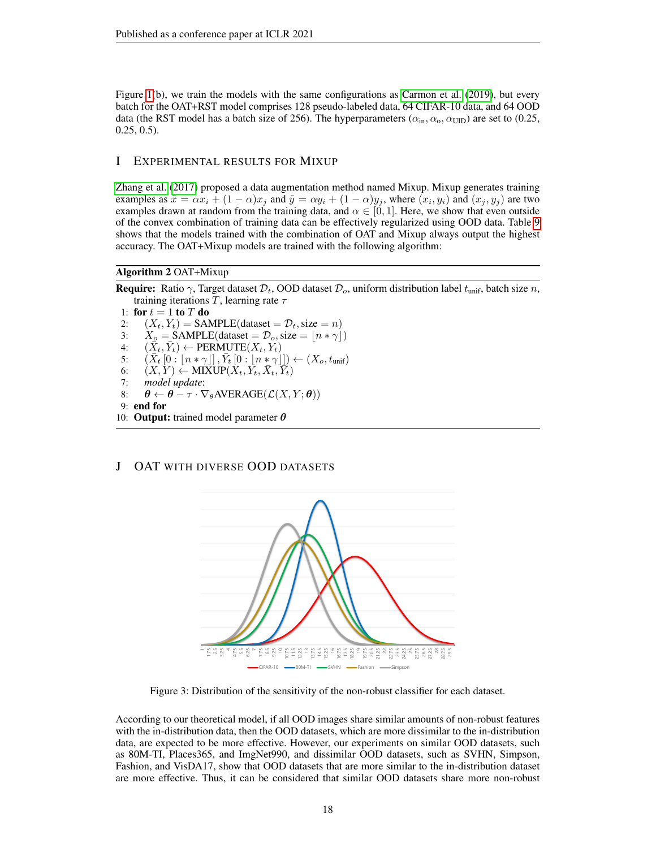Figure [1\(](#page-7-0)b), we train the models with the same configurations as [Carmon et al.](#page-9-4) [\(2019\)](#page-9-4), but every batch for the OAT+RST model comprises 128 pseudo-labeled data, 64 CIFAR-10 data, and 64 OOD data (the RST model has a batch size of 256). The hyperparameters ( $\alpha_{in}$ ,  $\alpha_{o}$ ,  $\alpha_{\text{UID}}$ ) are set to (0.25, 0.25, 0.5).

## <span id="page-17-1"></span>I EXPERIMENTAL RESULTS FOR MIXUP

[Zhang et al.](#page-11-4) [\(2017\)](#page-11-4) proposed a data augmentation method named Mixup. Mixup generates training examples as  $\tilde{x} = \alpha x_i + (1 - \alpha)x_j$  and  $\tilde{y} = \alpha y_i + (1 - \alpha)y_j$ , where  $(x_i, y_i)$  and  $(x_j, y_j)$  are two examples drawn at random from the training data, and  $\alpha \in [0, 1]$ . Here, we show that even outside of the convex combination of training data can be effectively regularized using OOD data. Table [9](#page-16-1) shows that the models trained with the combination of OAT and Mixup always output the highest accuracy. The OAT+Mixup models are trained with the following algorithm:

## Algorithm 2 OAT+Mixup

**Require:** Ratio  $\gamma$ , Target dataset  $\mathcal{D}_t$ , OOD dataset  $\mathcal{D}_o$ , uniform distribution label  $t_{\text{unif}}$ , batch size n, training iterations T, learning rate  $\tau$ 

1: for  $t = 1$  to  $T$  do 2:  $(X_t, Y_t) = \text{SAMPLE}(\text{dataset} = \mathcal{D}_t, \text{size} = n)$ 3:  $X_o = \text{SAMPLE}(\text{dataset} = \mathcal{D}_o, \text{size} = \lfloor n * \gamma \rfloor)$ <br>4:  $(\bar{X}_t, \bar{Y}_t) \leftarrow \text{PERMUTE}(X_t, Y_t)$ 4:  $(\bar{X}_t, \bar{Y}_t) \leftarrow \text{PERMUTE}(X_t, \tilde{Y}_t)$ 5:  $(\bar{X}_t[0:[n*\gamma]], \bar{Y}_t[0:[n*\gamma]]) \leftarrow (X_o, t_{\text{unif}})$ 6:  $(X, Y) \leftarrow \text{MIXUP}(X_t, Y_t, \bar{X}_t, Y_t)$ 7: *model update*: 8:  $\theta \leftarrow \theta - \tau \cdot \nabla_{\theta} AVERAGE(\mathcal{L}(X, Y; \theta))$ 9: end for 10: **Output:** trained model parameter  $\theta$ 

## <span id="page-17-2"></span><span id="page-17-0"></span>J OAT WITH DIVERSE OOD DATASETS



Figure 3: Distribution of the sensitivity of the non-robust classifier for each dataset.

According to our theoretical model, if all OOD images share similar amounts of non-robust features with the in-distribution data, then the OOD datasets, which are more dissimilar to the in-distribution data, are expected to be more effective. However, our experiments on similar OOD datasets, such as 80M-TI, Places365, and ImgNet990, and dissimilar OOD datasets, such as SVHN, Simpson, Fashion, and VisDA17, show that OOD datasets that are more similar to the in-distribution dataset are more effective. Thus, it can be considered that similar OOD datasets share more non-robust